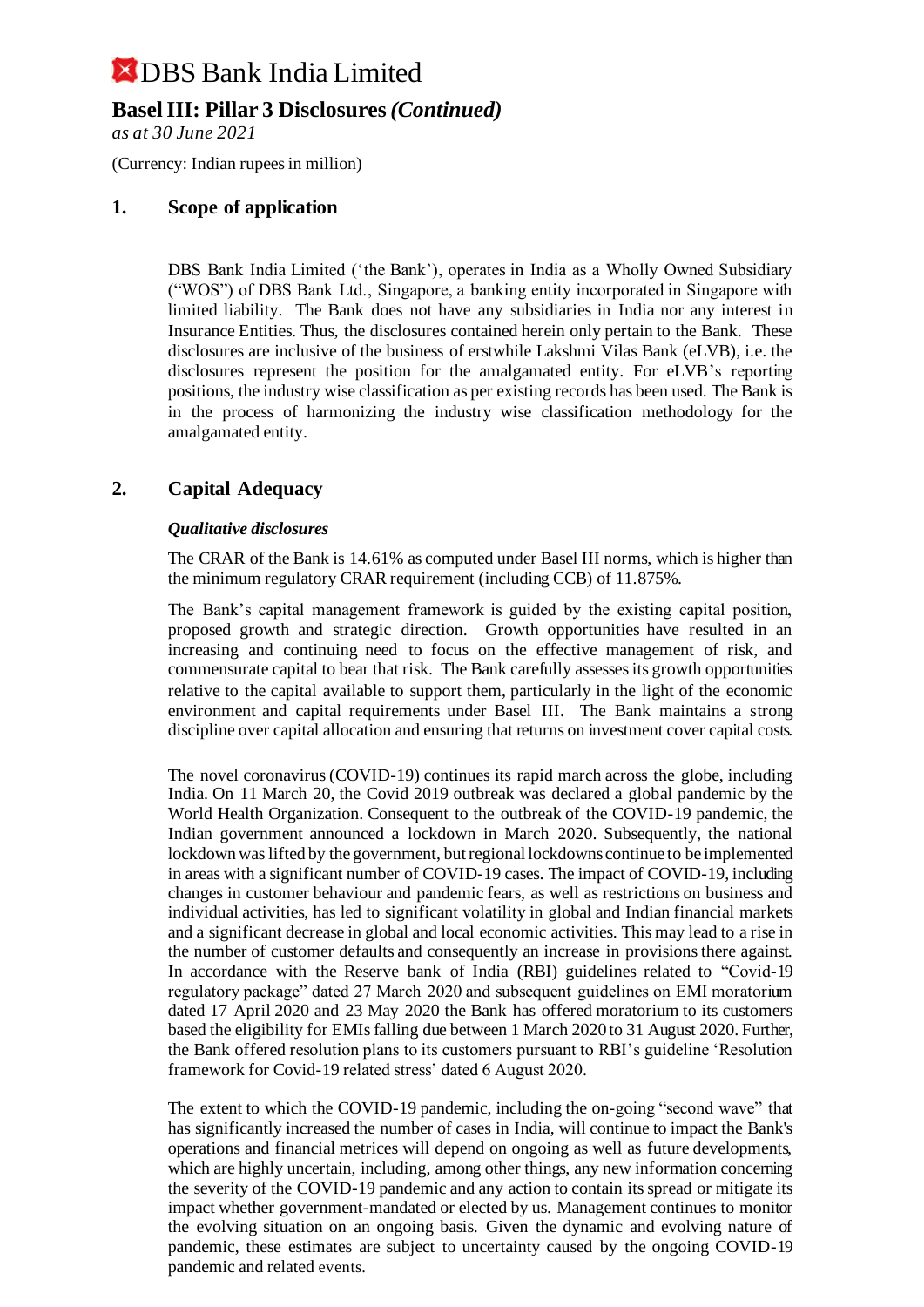## **Basel III: Pillar 3 Disclosures** *(Continued)*

*as at 30 June 2021*

(Currency: Indian rupees in million)

### **1. Scope of application**

DBS Bank India Limited ('the Bank'), operates in India as a Wholly Owned Subsidiary ("WOS") of DBS Bank Ltd., Singapore, a banking entity incorporated in Singapore with limited liability. The Bank does not have any subsidiaries in India nor any interest in Insurance Entities. Thus, the disclosures contained herein only pertain to the Bank. These disclosures are inclusive of the business of erstwhile Lakshmi Vilas Bank (eLVB), i.e. the disclosures represent the position for the amalgamated entity. For eLVB's reporting positions, the industry wise classification as per existing records has been used. The Bank is in the process of harmonizing the industry wise classification methodology for the amalgamated entity.

### **2. Capital Adequacy**

#### *Qualitative disclosures*

The CRAR of the Bank is 14.61% as computed under Basel III norms, which is higher than the minimum regulatory CRAR requirement (including CCB) of 11.875%.

The Bank's capital management framework is guided by the existing capital position, proposed growth and strategic direction. Growth opportunities have resulted in an increasing and continuing need to focus on the effective management of risk, and commensurate capital to bear that risk. The Bank carefully assesses its growth opportunities relative to the capital available to support them, particularly in the light of the economic environment and capital requirements under Basel III. The Bank maintains a strong discipline over capital allocation and ensuring that returns on investment cover capital costs.

The novel coronavirus (COVID-19) continues its rapid march across the globe, including India. On 11 March 20, the Covid 2019 outbreak was declared a global pandemic by the World Health Organization. Consequent to the outbreak of the COVID-19 pandemic, the Indian government announced a lockdown in March 2020. Subsequently, the national lockdown was lifted by the government, but regional lockdowns continue to be implemented in areas with a significant number of COVID-19 cases. The impact of COVID-19, including changes in customer behaviour and pandemic fears, as well as restrictions on business and individual activities, has led to significant volatility in global and Indian financial markets and a significant decrease in global and local economic activities. This may lead to a rise in the number of customer defaults and consequently an increase in provisions there against. In accordance with the Reserve bank of India (RBI) guidelines related to "Covid-19 regulatory package" dated 27 March 2020 and subsequent guidelines on EMI moratorium dated 17 April 2020 and 23 May 2020 the Bank has offered moratorium to its customers based the eligibility for EMIs falling due between 1 March 2020 to 31 August 2020. Further, the Bank offered resolution plans to its customers pursuant to RBI's guideline 'Resolution framework for Covid-19 related stress' dated 6 August 2020.

The extent to which the COVID-19 pandemic, including the on-going "second wave" that has significantly increased the number of cases in India, will continue to impact the Bank's operations and financial metrices will depend on ongoing as well as future developments, which are highly uncertain, including, among other things, any new information concerning the severity of the COVID-19 pandemic and any action to contain its spread or mitigate its impact whether government-mandated or elected by us. Management continues to monitor the evolving situation on an ongoing basis. Given the dynamic and evolving nature of pandemic, these estimates are subject to uncertainty caused by the ongoing COVID-19 pandemic and related events.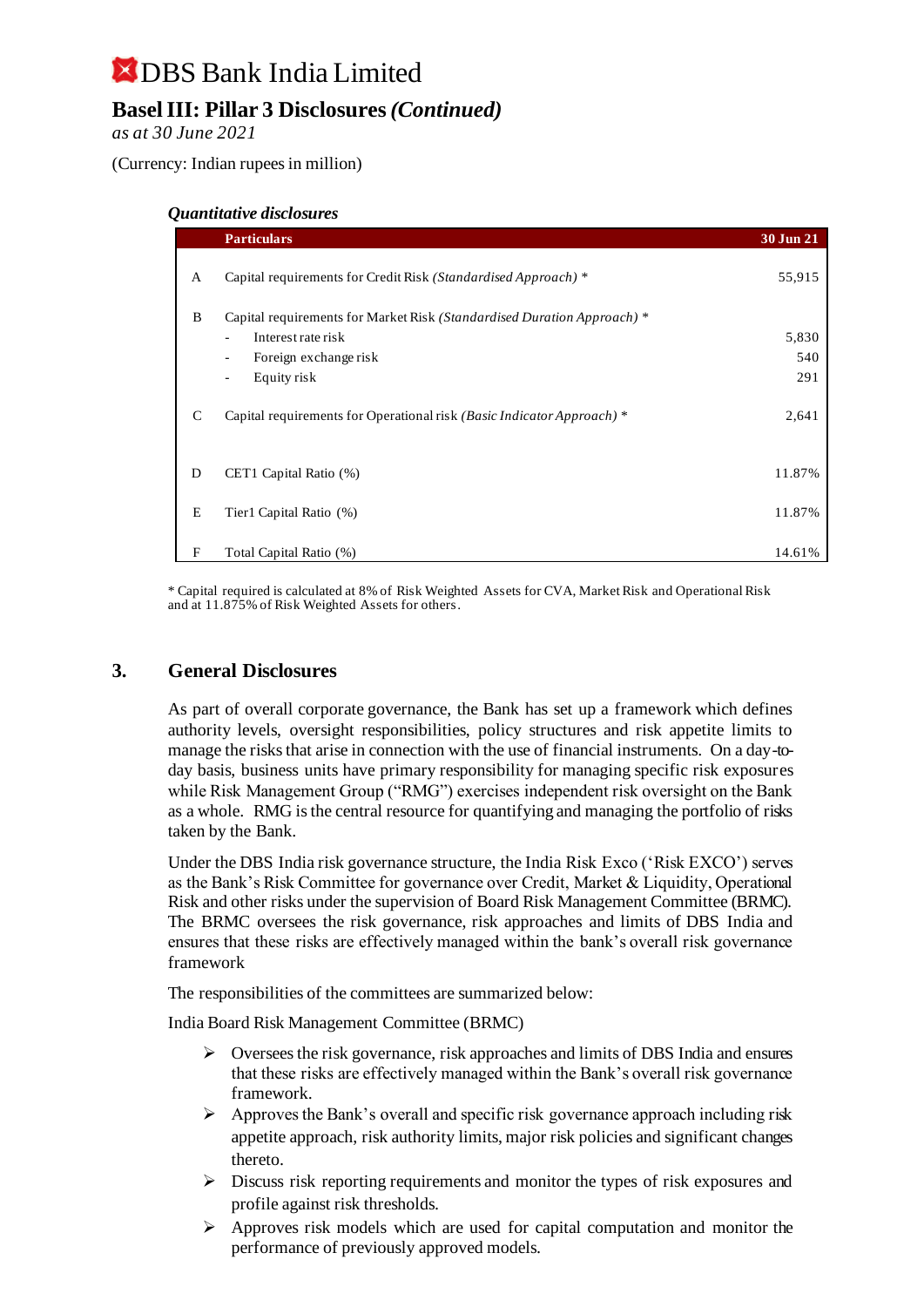## **X** DBS Bank India Limited **Basel III: Pillar 3 Disclosures** *(Continued)*

*as at 30 June 2021*

(Currency: Indian rupees in million)

#### *Quantitative disclosures*

|              | <b>Particulars</b>                                                      | 30 Jun 21 |
|--------------|-------------------------------------------------------------------------|-----------|
| $\mathbf{A}$ | Capital requirements for Credit Risk (Standardised Approach) *          | 55,915    |
| B            | Capital requirements for Market Risk (Standardised Duration Approach) * |           |
|              | Interest rate risk                                                      | 5,830     |
|              | Foreign exchange risk<br>$\overline{\phantom{a}}$                       | 540       |
|              | Equity risk<br>$\overline{\phantom{a}}$                                 | 291       |
| C            | Capital requirements for Operational risk (Basic Indicator Approach) *  | 2,641     |
| D            | CET1 Capital Ratio (%)                                                  | 11.87%    |
| E            | Tier1 Capital Ratio (%)                                                 | 11.87%    |
| F            | Total Capital Ratio (%)                                                 | 14.61%    |

\* Capital required is calculated at 8% of Risk Weighted Assets for CVA, Market Risk and Operational Risk and at 11.875% of Risk Weighted Assets for others.

### **3. General Disclosures**

As part of overall corporate governance, the Bank has set up a framework which defines authority levels, oversight responsibilities, policy structures and risk appetite limits to manage the risks that arise in connection with the use of financial instruments. On a day-today basis, business units have primary responsibility for managing specific risk exposures while Risk Management Group ("RMG") exercises independent risk oversight on the Bank as a whole. RMG is the central resource for quantifying and managing the portfolio of risks taken by the Bank.

Under the DBS India risk governance structure, the India Risk Exco ('Risk EXCO') serves as the Bank's Risk Committee for governance over Credit, Market & Liquidity, Operational Risk and other risks under the supervision of Board Risk Management Committee (BRMC). The BRMC oversees the risk governance, risk approaches and limits of DBS India and ensures that these risks are effectively managed within the bank's overall risk governance framework

The responsibilities of the committees are summarized below:

India Board Risk Management Committee (BRMC)

- $\triangleright$  Oversees the risk governance, risk approaches and limits of DBS India and ensures that these risks are effectively managed within the Bank's overall risk governance framework.
- $\triangleright$  Approves the Bank's overall and specific risk governance approach including risk appetite approach, risk authority limits, major risk policies and significant changes thereto.
- ➢ Discuss risk reporting requirements and monitor the types of risk exposures and profile against risk thresholds.
- $\triangleright$  Approves risk models which are used for capital computation and monitor the performance of previously approved models.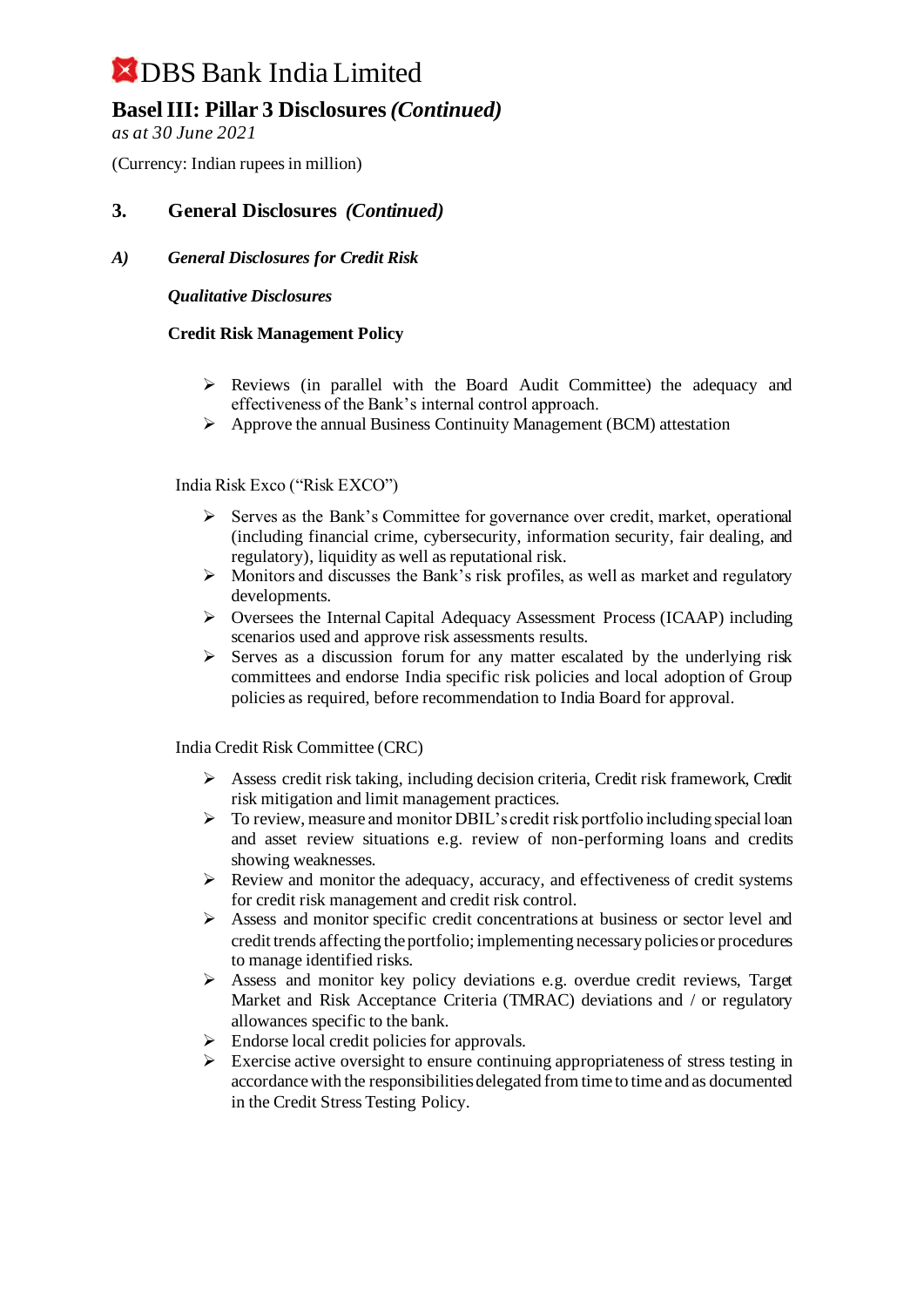## **Basel III: Pillar 3 Disclosures** *(Continued)*

*as at 30 June 2021*

(Currency: Indian rupees in million)

### **3. General Disclosures** *(Continued)*

### *A) General Disclosures for Credit Risk*

#### *Qualitative Disclosures*

#### **Credit Risk Management Policy**

- $\triangleright$  Reviews (in parallel with the Board Audit Committee) the adequacy and effectiveness of the Bank's internal control approach.
- ➢ Approve the annual Business Continuity Management (BCM) attestation

#### India Risk Exco ("Risk EXCO")

- ➢ Serves as the Bank's Committee for governance over credit, market, operational (including financial crime, cybersecurity, information security, fair dealing, and regulatory), liquidity as well as reputational risk.
- ➢ Monitors and discusses the Bank's risk profiles, as well as market and regulatory developments.
- ➢ Oversees the Internal Capital Adequacy Assessment Process (ICAAP) including scenarios used and approve risk assessments results.
- $\triangleright$  Serves as a discussion forum for any matter escalated by the underlying risk committees and endorse India specific risk policies and local adoption of Group policies as required, before recommendation to India Board for approval.

India Credit Risk Committee (CRC)

- $\triangleright$  Assess credit risk taking, including decision criteria, Credit risk framework, Credit risk mitigation and limit management practices.
- ➢ To review, measure and monitor DBIL's credit risk portfolio including special loan and asset review situations e.g. review of non-performing loans and credits showing weaknesses.
- ➢ Review and monitor the adequacy, accuracy, and effectiveness of credit systems for credit risk management and credit risk control.
- ➢ Assess and monitor specific credit concentrations at business or sector level and credit trends affecting the portfolio; implementing necessary policies or procedures to manage identified risks.
- $\triangleright$  Assess and monitor key policy deviations e.g. overdue credit reviews, Target Market and Risk Acceptance Criteria (TMRAC) deviations and / or regulatory allowances specific to the bank.
- $\triangleright$  Endorse local credit policies for approvals.
- $\triangleright$  Exercise active oversight to ensure continuing appropriateness of stress testing in accordance with the responsibilities delegated from time to time and as documented in the Credit Stress Testing Policy.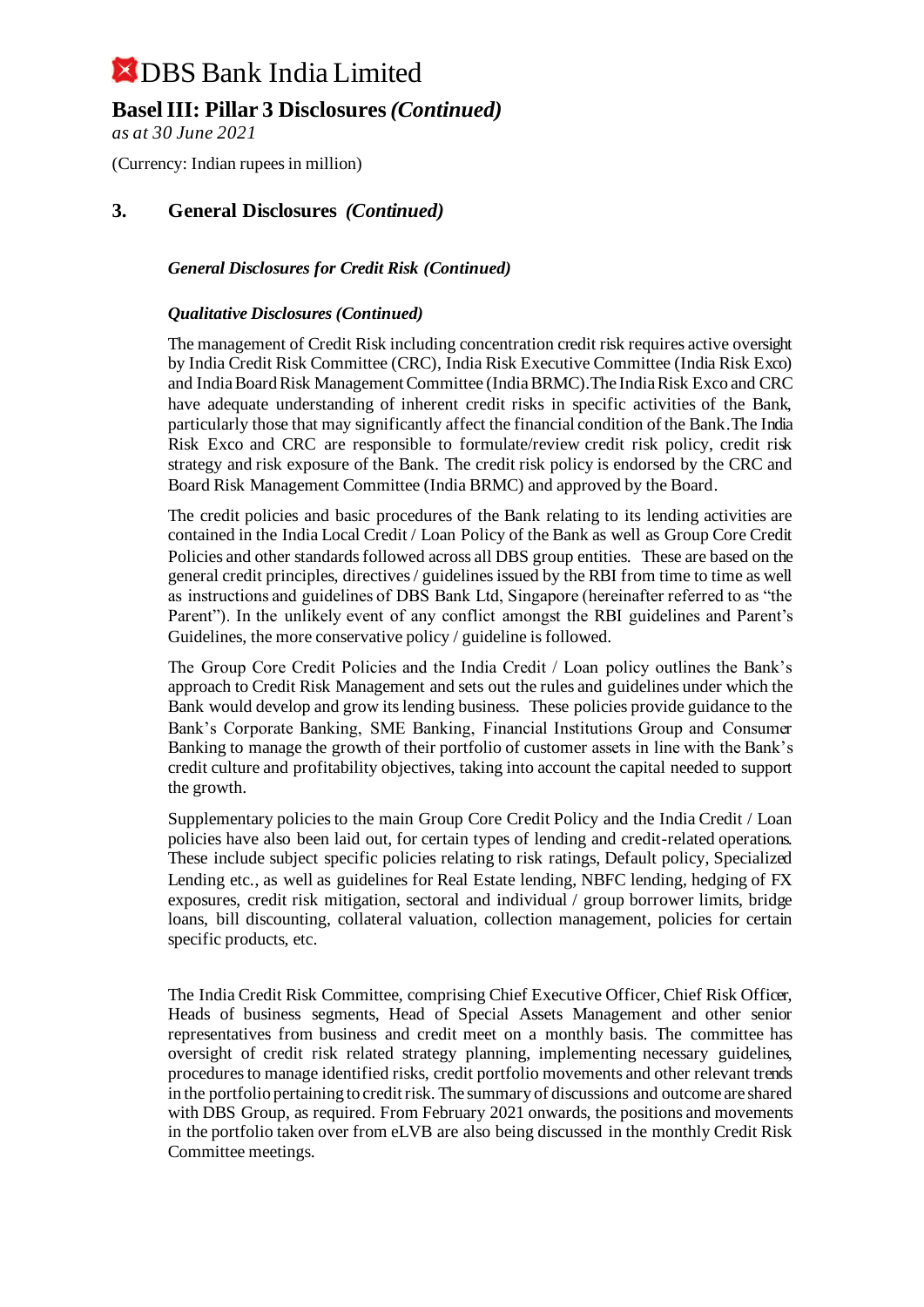## **Basel III: Pillar 3 Disclosures** *(Continued)*

*as at 30 June 2021*

(Currency: Indian rupees in million)

### **3. General Disclosures** *(Continued)*

### *General Disclosures for Credit Risk (Continued)*

#### *Qualitative Disclosures (Continued)*

The management of Credit Risk including concentration credit risk requires active oversight by India Credit Risk Committee (CRC), India Risk Executive Committee (India Risk Exco) and India Board Risk Management Committee (India BRMC).The India Risk Exco and CRC have adequate understanding of inherent credit risks in specific activities of the Bank, particularly those that may significantly affect the financial condition of the Bank.The India Risk Exco and CRC are responsible to formulate/review credit risk policy, credit risk strategy and risk exposure of the Bank. The credit risk policy is endorsed by the CRC and Board Risk Management Committee (India BRMC) and approved by the Board.

The credit policies and basic procedures of the Bank relating to its lending activities are contained in the India Local Credit / Loan Policy of the Bank as well as Group Core Credit Policies and other standards followed across all DBS group entities. These are based on the general credit principles, directives / guidelines issued by the RBI from time to time as well as instructions and guidelines of DBS Bank Ltd, Singapore (hereinafter referred to as "the Parent"). In the unlikely event of any conflict amongst the RBI guidelines and Parent's Guidelines, the more conservative policy / guideline is followed.

The Group Core Credit Policies and the India Credit / Loan policy outlines the Bank's approach to Credit Risk Management and sets out the rules and guidelines under which the Bank would develop and grow its lending business. These policies provide guidance to the Bank's Corporate Banking, SME Banking, Financial Institutions Group and Consumer Banking to manage the growth of their portfolio of customer assets in line with the Bank's credit culture and profitability objectives, taking into account the capital needed to support the growth.

Supplementary policies to the main Group Core Credit Policy and the India Credit / Loan policies have also been laid out, for certain types of lending and credit-related operations. These include subject specific policies relating to risk ratings, Default policy, Specialized Lending etc., as well as guidelines for Real Estate lending, NBFC lending, hedging of FX exposures, credit risk mitigation, sectoral and individual / group borrower limits, bridge loans, bill discounting, collateral valuation, collection management, policies for certain specific products, etc.

The India Credit Risk Committee, comprising Chief Executive Officer, Chief Risk Officer, Heads of business segments, Head of Special Assets Management and other senior representatives from business and credit meet on a monthly basis. The committee has oversight of credit risk related strategy planning, implementing necessary guidelines, procedures to manage identified risks, credit portfolio movements and other relevant trends in the portfolio pertaining to credit risk. The summary of discussions and outcome are shared with DBS Group, as required. From February 2021 onwards, the positions and movements in the portfolio taken over from eLVB are also being discussed in the monthly Credit Risk Committee meetings.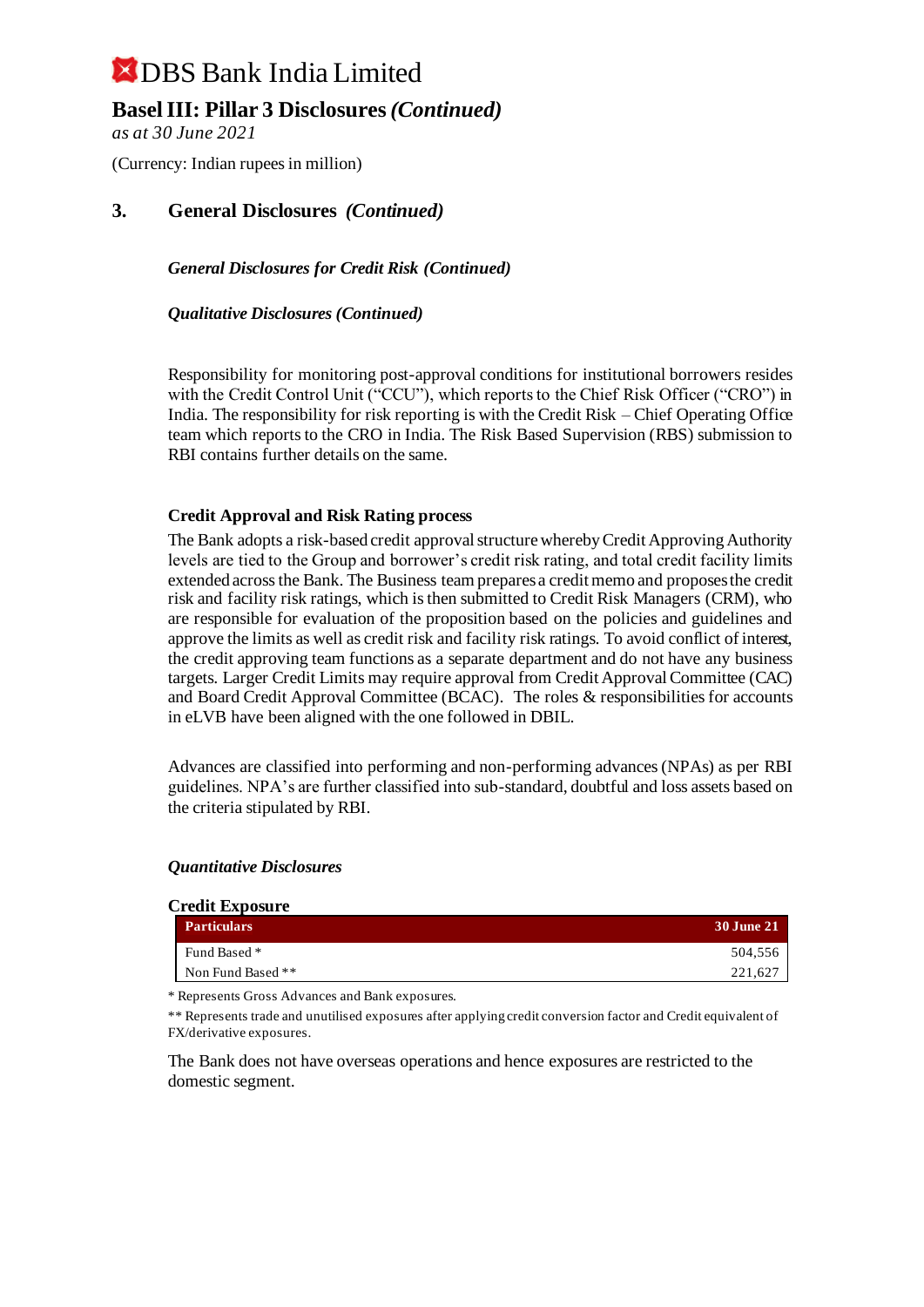## **Basel III: Pillar 3 Disclosures** *(Continued)*

*as at 30 June 2021*

(Currency: Indian rupees in million)

### **3. General Disclosures** *(Continued)*

*General Disclosures for Credit Risk (Continued)*

*Qualitative Disclosures (Continued)*

Responsibility for monitoring post-approval conditions for institutional borrowers resides with the Credit Control Unit ("CCU"), which reports to the Chief Risk Officer ("CRO") in India. The responsibility for risk reporting is with the Credit Risk – Chief Operating Office team which reports to the CRO in India. The Risk Based Supervision (RBS) submission to RBI contains further details on the same.

#### **Credit Approval and Risk Rating process**

The Bank adopts a risk-based credit approval structure whereby Credit Approving Authority levels are tied to the Group and borrower's credit risk rating, and total credit facility limits extended across the Bank. The Business team prepares a credit memo and proposes the credit risk and facility risk ratings, which is then submitted to Credit Risk Managers (CRM), who are responsible for evaluation of the proposition based on the policies and guidelines and approve the limits as well as credit risk and facility risk ratings. To avoid conflict of interest, the credit approving team functions as a separate department and do not have any business targets. Larger Credit Limits may require approval from Credit Approval Committee (CAC) and Board Credit Approval Committee (BCAC). The roles & responsibilities for accounts in eLVB have been aligned with the one followed in DBIL.

Advances are classified into performing and non-performing advances (NPAs) as per RBI guidelines. NPA's are further classified into sub-standard, doubtful and loss assets based on the criteria stipulated by RBI.

#### *Quantitative Disclosures*

 $C = \mathbf{E} \cdot \mathbf{E}$ 

| 30 June 21 |
|------------|
| 504.556    |
| 221.627    |
|            |

\* Represents Gross Advances and Bank exposures.

\*\* Represents trade and unutilised exposures after applying credit conversion factor and Credit equivalent of FX/derivative exposures.

The Bank does not have overseas operations and hence exposures are restricted to the domestic segment.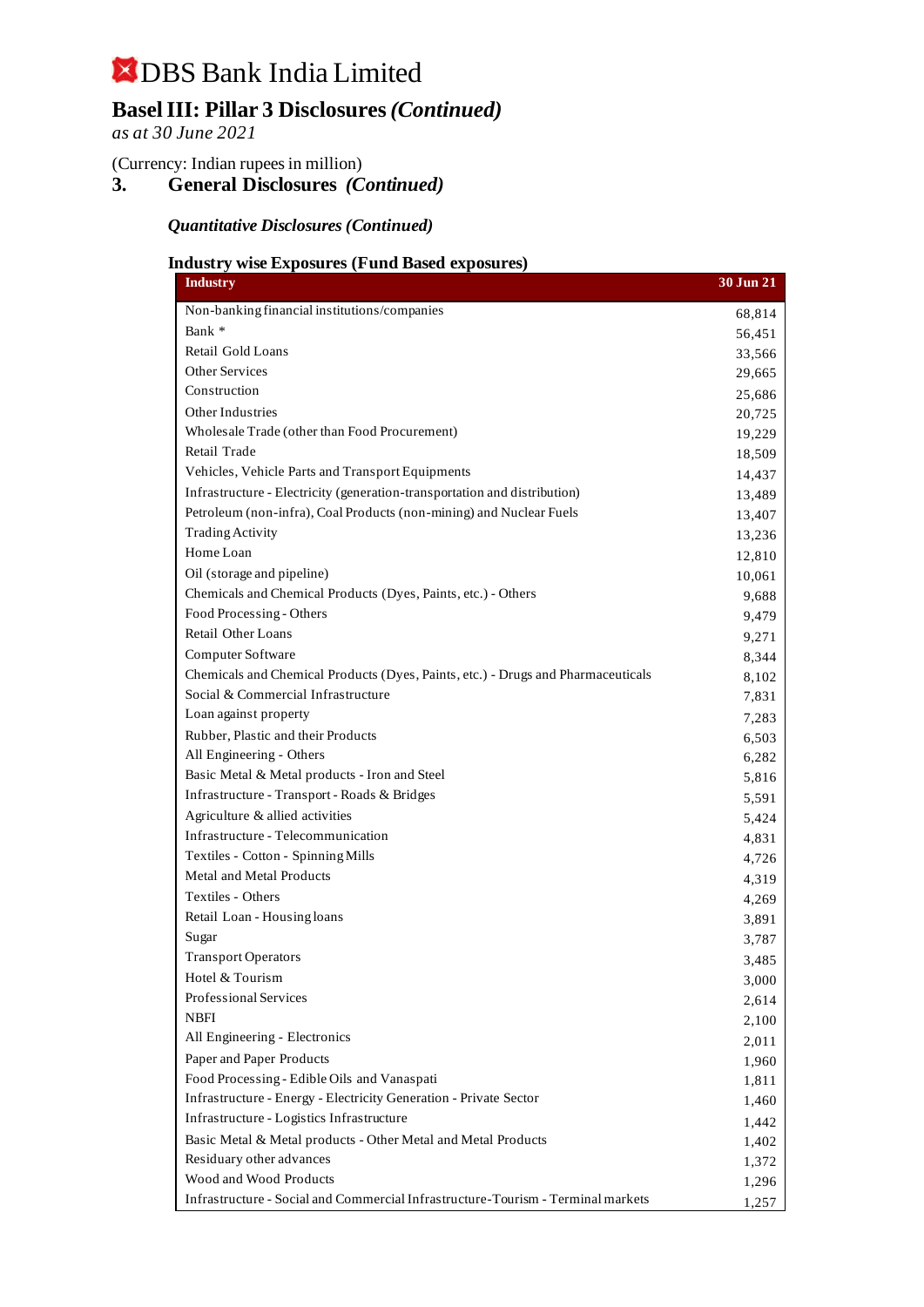## **Basel III: Pillar 3 Disclosures** *(Continued)*

*as at 30 June 2021*

(Currency: Indian rupees in million)

**3. General Disclosures** *(Continued)*

*Quantitative Disclosures (Continued)*

### **Industry wise Exposures (Fund Based exposures)**

| <b>Industry</b>                                                                  | 30 Jun 21 |
|----------------------------------------------------------------------------------|-----------|
| Non-banking financial institutions/companies                                     | 68,814    |
| Bank *                                                                           | 56,451    |
| Retail Gold Loans                                                                | 33,566    |
| <b>Other Services</b>                                                            | 29,665    |
| Construction                                                                     | 25,686    |
| Other Industries                                                                 | 20,725    |
| Wholesale Trade (other than Food Procurement)                                    | 19,229    |
| Retail Trade                                                                     | 18,509    |
| Vehicles, Vehicle Parts and Transport Equipments                                 | 14,437    |
| Infrastructure - Electricity (generation-transportation and distribution)        | 13,489    |
| Petroleum (non-infra), Coal Products (non-mining) and Nuclear Fuels              | 13,407    |
| <b>Trading Activity</b>                                                          | 13,236    |
| Home Loan                                                                        | 12,810    |
| Oil (storage and pipeline)                                                       | 10,061    |
| Chemicals and Chemical Products (Dyes, Paints, etc.) - Others                    | 9,688     |
| Food Processing - Others                                                         | 9,479     |
| Retail Other Loans                                                               | 9,271     |
| <b>Computer Software</b>                                                         | 8,344     |
| Chemicals and Chemical Products (Dyes, Paints, etc.) - Drugs and Pharmaceuticals | 8,102     |
| Social & Commercial Infrastructure                                               | 7,831     |
| Loan against property                                                            | 7,283     |
| Rubber, Plastic and their Products                                               | 6,503     |
| All Engineering - Others                                                         | 6,282     |
| Basic Metal & Metal products - Iron and Steel                                    | 5,816     |
| Infrastructure - Transport - Roads & Bridges                                     | 5,591     |
| Agriculture & allied activities                                                  | 5,424     |
| Infrastructure - Telecommunication                                               | 4,831     |
| Textiles - Cotton - Spinning Mills                                               | 4,726     |
| Metal and Metal Products                                                         | 4,319     |
| Textiles - Others                                                                | 4,269     |
| Retail Loan - Housing loans                                                      | 3,891     |
| Sugar                                                                            | 3,787     |
| <b>Transport Operators</b>                                                       | 3,485     |
| Hotel & Tourism                                                                  | 3,000     |
| Professional Services                                                            | 2,614     |
| <b>NBFI</b>                                                                      | 2,100     |
| All Engineering - Electronics                                                    | 2,011     |
| Paper and Paper Products                                                         | 1,960     |
| Food Processing - Edible Oils and Vanaspati                                      | 1,811     |
| Infrastructure - Energy - Electricity Generation - Private Sector                | 1,460     |
| Infrastructure - Logistics Infrastructure                                        | 1,442     |
| Basic Metal & Metal products - Other Metal and Metal Products                    | 1,402     |
| Residuary other advances                                                         | 1,372     |
| Wood and Wood Products                                                           | 1,296     |
| Infrastructure - Social and Commercial Infrastructure-Tourism - Terminal markets | 1,257     |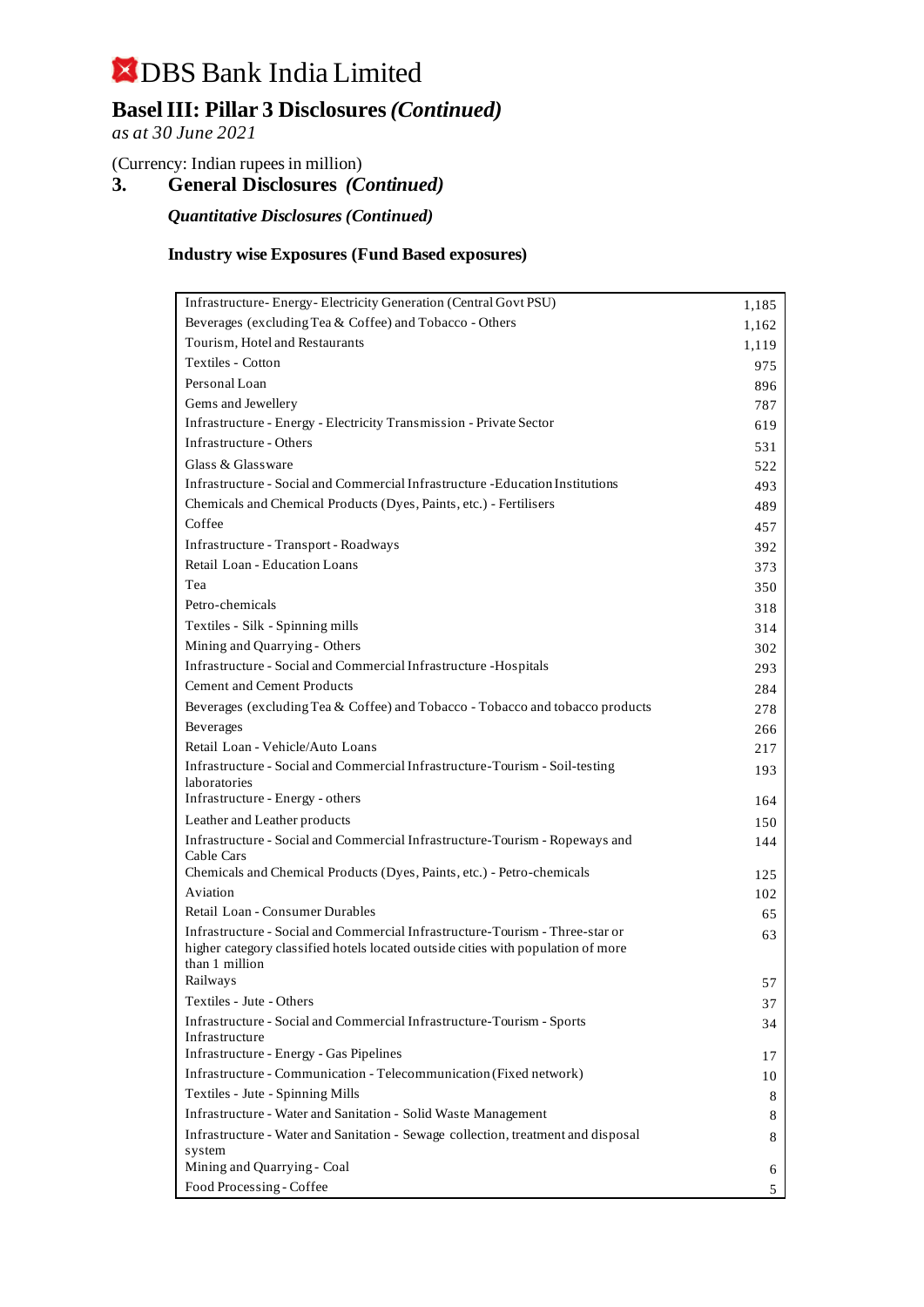## **Basel III: Pillar 3 Disclosures** *(Continued)*

*as at 30 June 2021*

(Currency: Indian rupees in million)

**3. General Disclosures** *(Continued)*

*Quantitative Disclosures (Continued)*

### **Industry wise Exposures (Fund Based exposures)**

| Infrastructure-Energy-Electricity Generation (Central Govt PSU)                                    | 1,185 |
|----------------------------------------------------------------------------------------------------|-------|
| Beverages (excluding Tea & Coffee) and Tobacco - Others                                            | 1,162 |
| Tourism, Hotel and Restaurants                                                                     | 1,119 |
| Textiles - Cotton                                                                                  | 975   |
| Personal Loan                                                                                      | 896   |
| Gems and Jewellery                                                                                 | 787   |
| Infrastructure - Energy - Electricity Transmission - Private Sector                                | 619   |
| Infrastructure - Others                                                                            | 531   |
| Glass & Glassware                                                                                  | 522   |
| Infrastructure - Social and Commercial Infrastructure - Education Institutions                     | 493   |
| Chemicals and Chemical Products (Dyes, Paints, etc.) - Fertilisers                                 | 489   |
| Coffee                                                                                             | 457   |
| Infrastructure - Transport - Roadways                                                              | 392   |
| Retail Loan - Education Loans                                                                      | 373   |
| Tea                                                                                                | 350   |
| Petro-chemicals                                                                                    | 318   |
| Textiles - Silk - Spinning mills                                                                   | 314   |
| Mining and Quarrying - Others                                                                      | 302   |
| Infrastructure - Social and Commercial Infrastructure - Hospitals                                  | 293   |
| <b>Cement and Cement Products</b>                                                                  | 284   |
| Beverages (excluding Tea & Coffee) and Tobacco - Tobacco and tobacco products                      | 278   |
| Beverages                                                                                          | 266   |
| Retail Loan - Vehicle/Auto Loans                                                                   | 217   |
| Infrastructure - Social and Commercial Infrastructure-Tourism - Soil-testing                       | 193   |
| laboratories                                                                                       |       |
| Infrastructure - Energy - others                                                                   | 164   |
| Leather and Leather products                                                                       | 150   |
| Infrastructure - Social and Commercial Infrastructure-Tourism - Ropeways and                       | 144   |
| Cable Cars<br>Chemicals and Chemical Products (Dyes, Paints, etc.) - Petro-chemicals               | 125   |
| Aviation                                                                                           | 102   |
| Retail Loan - Consumer Durables                                                                    | 65    |
| Infrastructure - Social and Commercial Infrastructure-Tourism - Three-star or                      | 63    |
| higher category classified hotels located outside cities with population of more<br>than 1 million |       |
| Railways                                                                                           | 57    |
| Textiles - Jute - Others                                                                           | 37    |
| Infrastructure - Social and Commercial Infrastructure-Tourism - Sports<br>Infrastructure           | 34    |
| Infrastructure - Energy - Gas Pipelines                                                            | 17    |
| Infrastructure - Communication - Telecommunication (Fixed network)                                 | 10    |
| Textiles - Jute - Spinning Mills                                                                   | 8     |
| Infrastructure - Water and Sanitation - Solid Waste Management                                     | 8     |
| Infrastructure - Water and Sanitation - Sewage collection, treatment and disposal<br>system        | 8     |
| Mining and Quarrying - Coal                                                                        | 6     |
| Food Processing - Coffee                                                                           | 5     |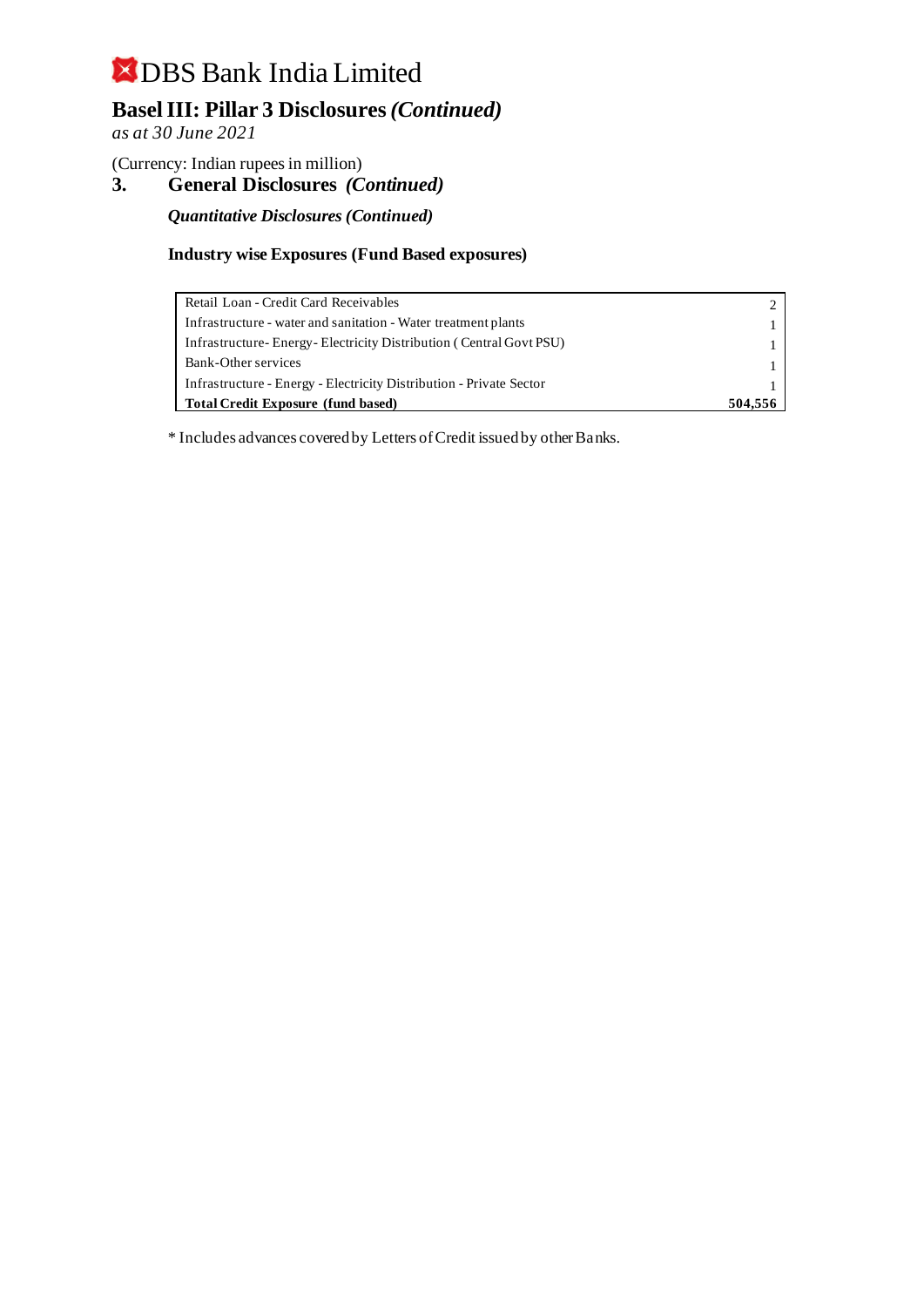## **Basel III: Pillar 3 Disclosures** *(Continued)*

*as at 30 June 2021*

(Currency: Indian rupees in million)

**3. General Disclosures** *(Continued)*

*Quantitative Disclosures (Continued)*

### **Industry wise Exposures (Fund Based exposures)**

| Retail Loan - Credit Card Receivables                               |  |
|---------------------------------------------------------------------|--|
| Infrastructure - water and sanitation - Water treatment plants      |  |
| Infrastructure-Energy-Electricity Distribution (Central Govt PSU)   |  |
| Bank-Other services                                                 |  |
| Infrastructure - Energy - Electricity Distribution - Private Sector |  |
| <b>Total Credit Exposure (fund based)</b>                           |  |

\* Includes advances covered by Letters of Credit issued by other Banks.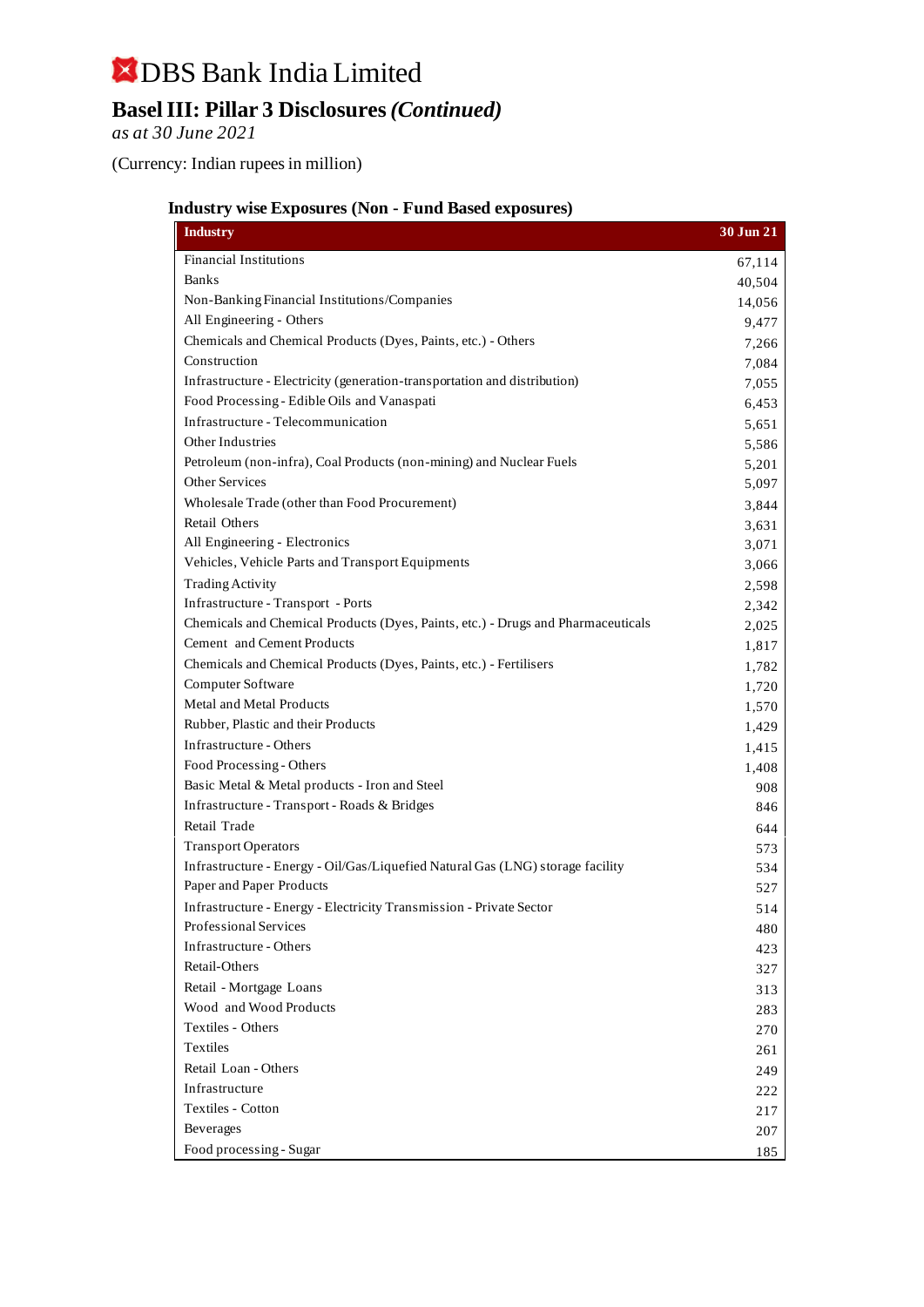## DBS Bank India Limited **Basel III: Pillar 3 Disclosures** *(Continued)*

*as at 30 June 2021*

(Currency: Indian rupees in million)

## **Industry wise Exposures (Non - Fund Based exposures)**

| <b>Industry</b>                                                                  | 30 Jun 21 |
|----------------------------------------------------------------------------------|-----------|
| <b>Financial Institutions</b>                                                    | 67,114    |
| <b>Banks</b>                                                                     | 40,504    |
| Non-Banking Financial Institutions/Companies                                     | 14,056    |
| All Engineering - Others                                                         | 9,477     |
| Chemicals and Chemical Products (Dyes, Paints, etc.) - Others                    | 7,266     |
| Construction                                                                     | 7,084     |
| Infrastructure - Electricity (generation-transportation and distribution)        | 7,055     |
| Food Processing - Edible Oils and Vanaspati                                      | 6,453     |
| Infrastructure - Telecommunication                                               | 5,651     |
| Other Industries                                                                 | 5,586     |
| Petroleum (non-infra), Coal Products (non-mining) and Nuclear Fuels              | 5,201     |
| <b>Other Services</b>                                                            | 5,097     |
| Wholesale Trade (other than Food Procurement)                                    | 3,844     |
| <b>Retail Others</b>                                                             | 3,631     |
| All Engineering - Electronics                                                    | 3,071     |
| Vehicles, Vehicle Parts and Transport Equipments                                 | 3,066     |
| <b>Trading Activity</b>                                                          | 2,598     |
| Infrastructure - Transport - Ports                                               | 2,342     |
| Chemicals and Chemical Products (Dyes, Paints, etc.) - Drugs and Pharmaceuticals | 2,025     |
| Cement and Cement Products                                                       | 1,817     |
| Chemicals and Chemical Products (Dyes, Paints, etc.) - Fertilisers               | 1,782     |
| Computer Software                                                                | 1,720     |
| Metal and Metal Products                                                         | 1,570     |
| Rubber, Plastic and their Products                                               | 1,429     |
| Infrastructure - Others                                                          | 1,415     |
| Food Processing - Others                                                         | 1,408     |
| Basic Metal & Metal products - Iron and Steel                                    | 908       |
| Infrastructure - Transport - Roads & Bridges                                     | 846       |
| Retail Trade                                                                     | 644       |
| <b>Transport Operators</b>                                                       | 573       |
| Infrastructure - Energy - Oil/Gas/Liquefied Natural Gas (LNG) storage facility   | 534       |
| Paper and Paper Products                                                         | 527       |
| Infrastructure - Energy - Electricity Transmission - Private Sector              | 514       |
| Professional Services                                                            | 480       |
| Infrastructure - Others                                                          | 423       |
| Retail-Others                                                                    | 327       |
| Retail - Mortgage Loans                                                          | 313       |
| Wood and Wood Products                                                           | 283       |
| Textiles - Others                                                                | 270       |
| Textiles                                                                         | 261       |
| Retail Loan - Others                                                             | 249       |
| Infrastructure                                                                   | 222       |
| Textiles - Cotton                                                                | 217       |
| Beverages                                                                        | 207       |
| Food processing - Sugar                                                          | 185       |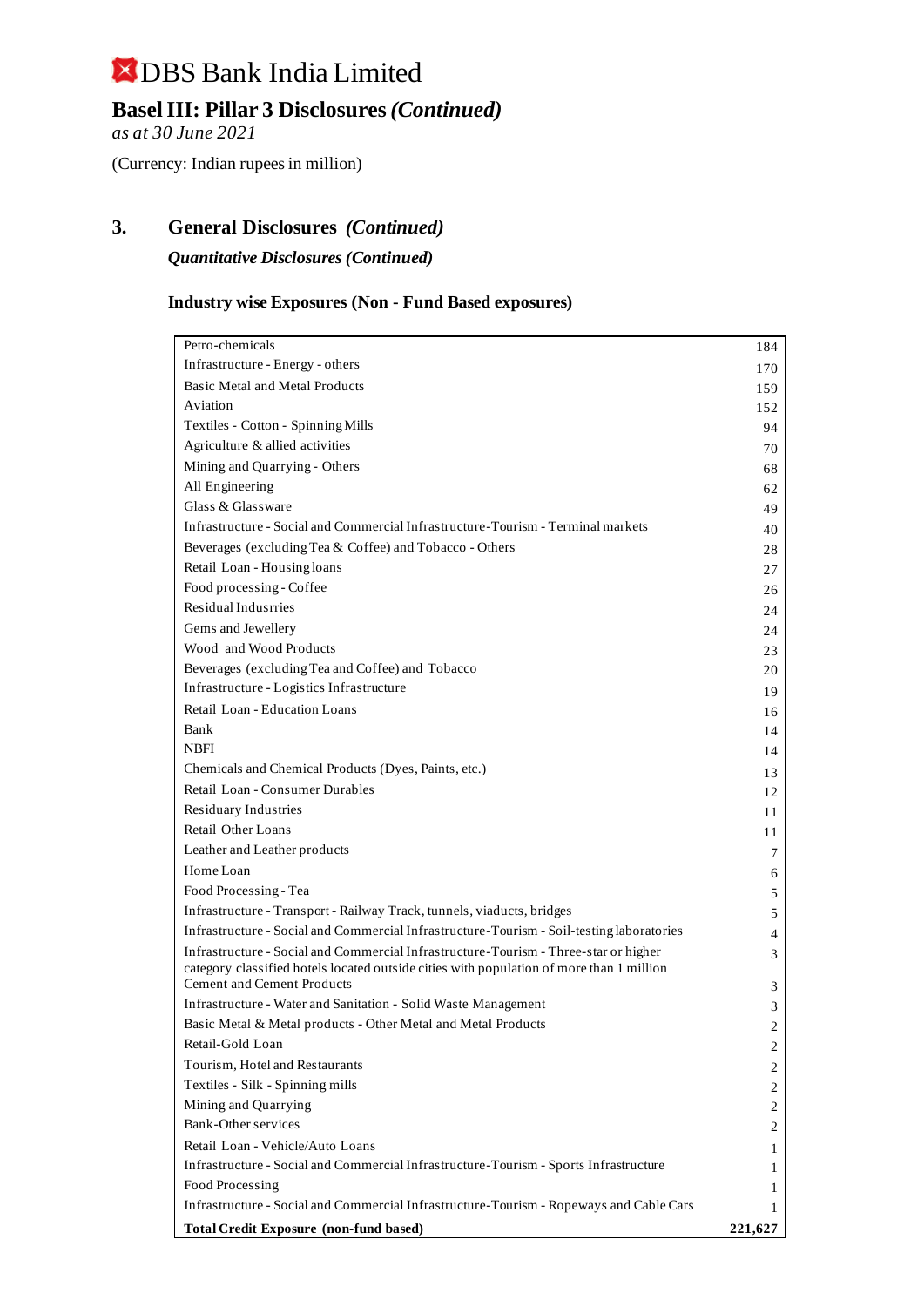## **Basel III: Pillar 3 Disclosures** *(Continued)*

*as at 30 June 2021*

(Currency: Indian rupees in million)

## **3. General Disclosures** *(Continued)*

*Quantitative Disclosures (Continued)*

### **Industry wise Exposures (Non - Fund Based exposures)**

| Petro-chemicals                                                                           | 184     |
|-------------------------------------------------------------------------------------------|---------|
| Infrastructure - Energy - others                                                          | 170     |
| <b>Basic Metal and Metal Products</b>                                                     | 159     |
| Aviation                                                                                  | 152     |
| Textiles - Cotton - Spinning Mills                                                        | 94      |
| Agriculture & allied activities                                                           | 70      |
| Mining and Quarrying - Others                                                             | 68      |
| All Engineering                                                                           | 62      |
| Glass & Glassware                                                                         | 49      |
| Infrastructure - Social and Commercial Infrastructure-Tourism - Terminal markets          | 40      |
| Beverages (excluding Tea & Coffee) and Tobacco - Others                                   | 28      |
| Retail Loan - Housing loans                                                               | 27      |
| Food processing - Coffee                                                                  | 26      |
| Residual Indusrries                                                                       | 24      |
| Gems and Jewellery                                                                        | 24      |
| Wood and Wood Products                                                                    | 23      |
| Beverages (excluding Tea and Coffee) and Tobacco                                          | 20      |
| Infrastructure - Logistics Infrastructure                                                 | 19      |
| Retail Loan - Education Loans                                                             | 16      |
| Bank                                                                                      | 14      |
| <b>NBFI</b>                                                                               | 14      |
| Chemicals and Chemical Products (Dyes, Paints, etc.)                                      | 13      |
| Retail Loan - Consumer Durables                                                           | 12      |
| Residuary Industries                                                                      | 11      |
| <b>Retail Other Loans</b>                                                                 | 11      |
| Leather and Leather products                                                              | 7       |
| Home Loan                                                                                 | 6       |
| Food Processing - Tea                                                                     | 5       |
| Infrastructure - Transport - Railway Track, tunnels, viaducts, bridges                    | 5       |
| Infrastructure - Social and Commercial Infrastructure-Tourism - Soil-testing laboratories | 4       |
| Infrastructure - Social and Commercial Infrastructure-Tourism - Three-star or higher      | 3       |
| category classified hotels located outside cities with population of more than 1 million  |         |
| <b>Cement and Cement Products</b>                                                         | 3       |
| Infrastructure - Water and Sanitation - Solid Waste Management                            | 3       |
| Basic Metal & Metal products - Other Metal and Metal Products                             | 2       |
| Retail-Gold Loan                                                                          | 2       |
| Tourism, Hotel and Restaurants                                                            | 2       |
| Textiles - Silk - Spinning mills                                                          | 2       |
| Mining and Quarrying                                                                      | 2       |
| Bank-Other services                                                                       | 2       |
| Retail Loan - Vehicle/Auto Loans                                                          | 1       |
| Infrastructure - Social and Commercial Infrastructure-Tourism - Sports Infrastructure     | 1       |
| Food Processing                                                                           | 1       |
| Infrastructure - Social and Commercial Infrastructure-Tourism - Ropeways and Cable Cars   | 1       |
| <b>Total Credit Exposure (non-fund based)</b>                                             | 221,627 |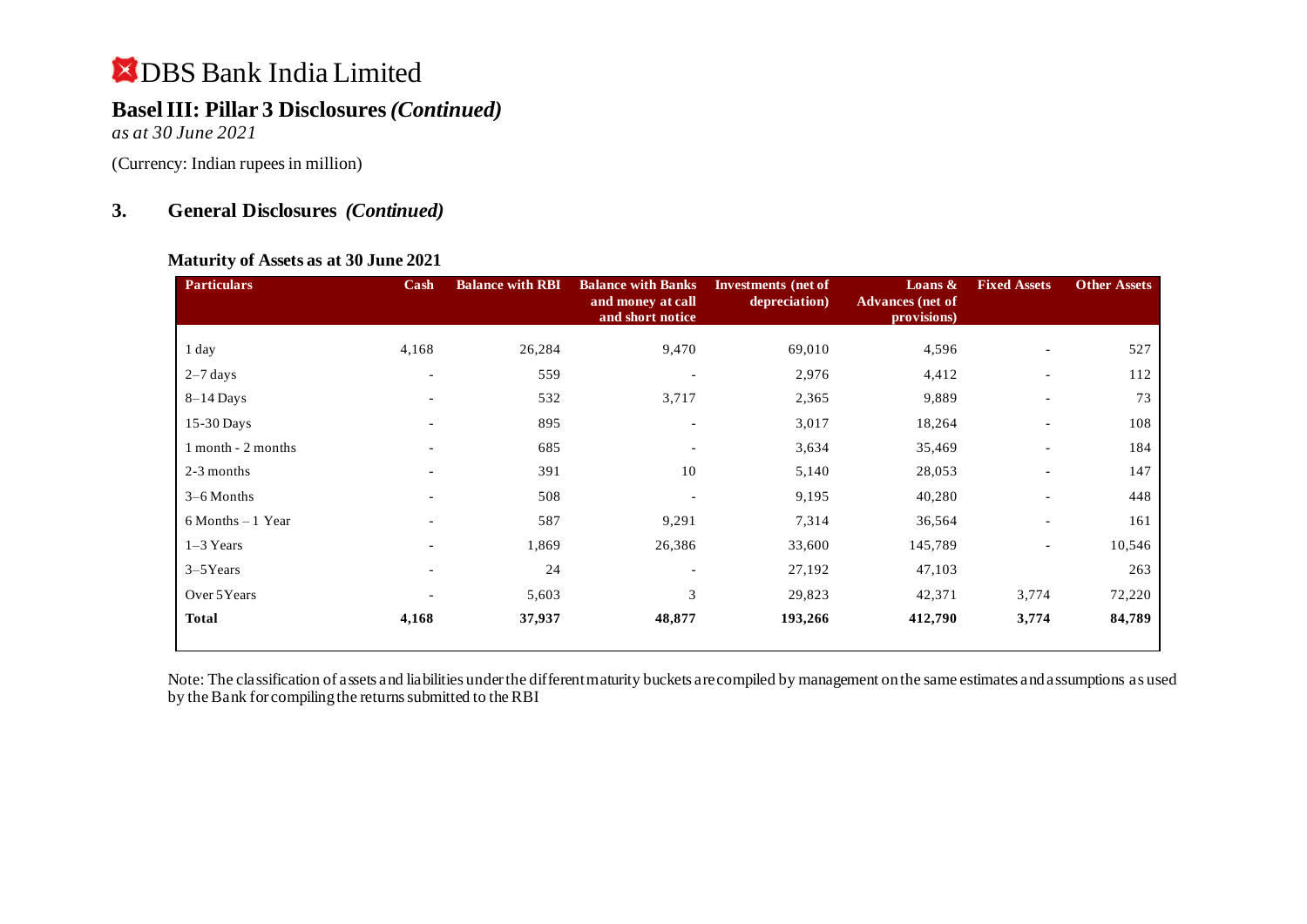## **Basel III: Pillar 3 Disclosures** *(Continued)*

*as at 30 June 2021*

(Currency: Indian rupees in million)

## **3. General Disclosures** *(Continued)*

### **Maturity of Assets as at 30 June 2021**

| <b>Particulars</b>   | Cash                     | <b>Balance with RBI</b> | <b>Balance with Banks</b><br>and money at call<br>and short notice | Investments (net of<br>depreciation) | Loans $\&$<br><b>Advances</b> (net of<br>provisions) | <b>Fixed Assets</b>      | <b>Other Assets</b> |
|----------------------|--------------------------|-------------------------|--------------------------------------------------------------------|--------------------------------------|------------------------------------------------------|--------------------------|---------------------|
| 1 day                | 4,168                    | 26,284                  | 9,470                                                              | 69,010                               | 4,596                                                | $\overline{\phantom{a}}$ | 527                 |
| $2-7$ days           | $\overline{\phantom{a}}$ | 559                     |                                                                    | 2,976                                | 4,412                                                | $\overline{\phantom{a}}$ | 112                 |
| $8-14$ Days          | $\overline{\phantom{a}}$ | 532                     | 3,717                                                              | 2,365                                | 9,889                                                |                          | 73                  |
| 15-30 Days           | $\overline{\phantom{a}}$ | 895                     | $\overline{\phantom{a}}$                                           | 3,017                                | 18,264                                               |                          | 108                 |
| 1 month - 2 months   | $\overline{\phantom{a}}$ | 685                     | $\overline{\phantom{a}}$                                           | 3,634                                | 35,469                                               | $\overline{\phantom{a}}$ | 184                 |
| 2-3 months           |                          | 391                     | 10                                                                 | 5,140                                | 28,053                                               | $\overline{\phantom{a}}$ | 147                 |
| $3-6$ Months         | $\overline{\phantom{a}}$ | 508                     | ٠                                                                  | 9,195                                | 40,280                                               | $\overline{\phantom{a}}$ | 448                 |
| $6$ Months $-1$ Year | $\overline{\phantom{a}}$ | 587                     | 9,291                                                              | 7,314                                | 36,564                                               | $\overline{\phantom{a}}$ | 161                 |
| $1-3$ Years          |                          | 1,869                   | 26,386                                                             | 33,600                               | 145,789                                              | $\overline{\phantom{a}}$ | 10,546              |
| $3-5$ Years          | $\overline{\phantom{0}}$ | 24                      | $\overline{\phantom{a}}$                                           | 27,192                               | 47,103                                               |                          | 263                 |
| Over 5Years          |                          | 5,603                   | 3                                                                  | 29,823                               | 42,371                                               | 3,774                    | 72,220              |
| <b>Total</b>         | 4,168                    | 37,937                  | 48,877                                                             | 193,266                              | 412,790                                              | 3,774                    | 84,789              |

Note: The classification of assets and liabilities under the different maturity buckets are compiled by management on the same estimates and assumptions as used by the Bank for compiling the returns submitted to the RBI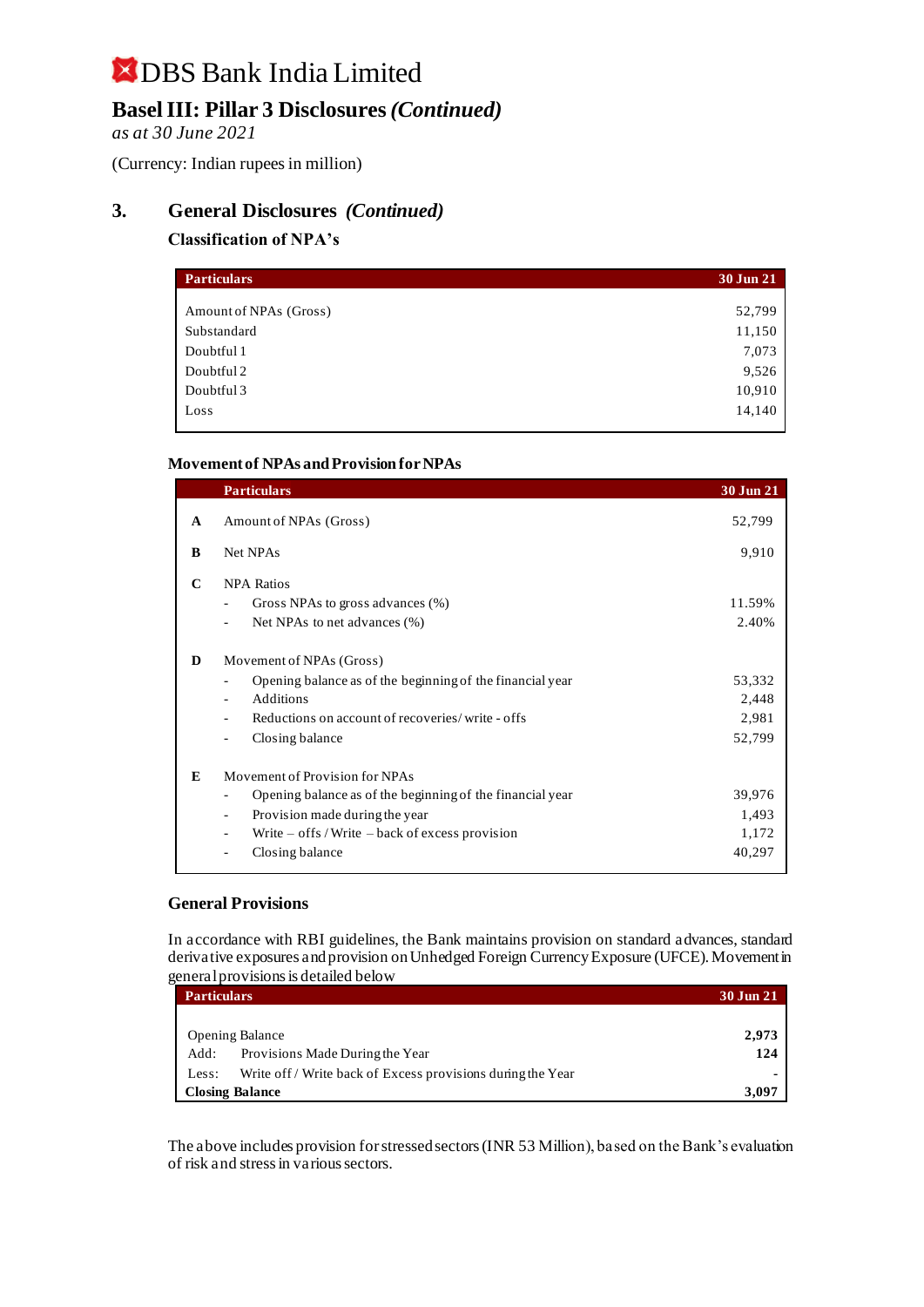## **Basel III: Pillar 3 Disclosures** *(Continued)*

*as at 30 June 2021*

(Currency: Indian rupees in million)

### **3. General Disclosures** *(Continued)*

### **Classification of NPA's**

| <b>Particulars</b>     | 30 Jun 21 |
|------------------------|-----------|
|                        |           |
| Amount of NPAs (Gross) | 52,799    |
| Substandard            | 11,150    |
| Doubtful 1             | 7,073     |
| Doubtful 2             | 9,526     |
| Doubtful 3             | 10,910    |
| Loss                   | 14,140    |

#### **Movement of NPAs and Provision for NPAs**

|              | <b>Particulars</b>                                                                    | 30 Jun 21 |
|--------------|---------------------------------------------------------------------------------------|-----------|
| $\mathbf{A}$ | Amount of NPAs (Gross)                                                                | 52,799    |
| B            | Net NPAs                                                                              | 9,910     |
| C            | <b>NPA Ratios</b>                                                                     |           |
|              | Gross NPAs to gross advances (%)<br>$\overline{\phantom{0}}$                          | 11.59%    |
|              | Net NPAs to net advances (%)                                                          | 2.40%     |
| D            | Movement of NPAs (Gross)                                                              |           |
|              | Opening balance as of the beginning of the financial year                             | 53,332    |
|              | Additions<br>$\overline{\phantom{a}}$                                                 | 2,448     |
|              | Reductions on account of recoveries/write - offs                                      | 2,981     |
|              | Closing balance                                                                       | 52,799    |
| E            | Movement of Provision for NPAs                                                        |           |
|              | Opening balance as of the beginning of the financial year<br>$\overline{\phantom{0}}$ | 39,976    |
|              | Provision made during the year<br>$\overline{\phantom{0}}$                            | 1,493     |
|              | Write $-$ offs / Write $-$ back of excess provision                                   | 1,172     |
|              | Closing balance                                                                       | 40,297    |
|              |                                                                                       |           |

#### **General Provisions**

In accordance with RBI guidelines, the Bank maintains provision on standard advances, standard derivative exposures and provision on Unhedged Foreign Currency Exposure (UFCE). Movement in general provisions is detailed below

|       | <b>Particulars</b>                                          |       |
|-------|-------------------------------------------------------------|-------|
|       |                                                             |       |
|       | <b>Opening Balance</b>                                      | 2,973 |
| Add:  | Provisions Made During the Year                             | 124   |
| Less: | Write off / Write back of Excess provisions during the Year |       |
|       | <b>Closing Balance</b>                                      | 3.097 |

The above includes provision for stressed sectors (INR 53 Million), based on the Bank's evaluation of risk and stress in various sectors.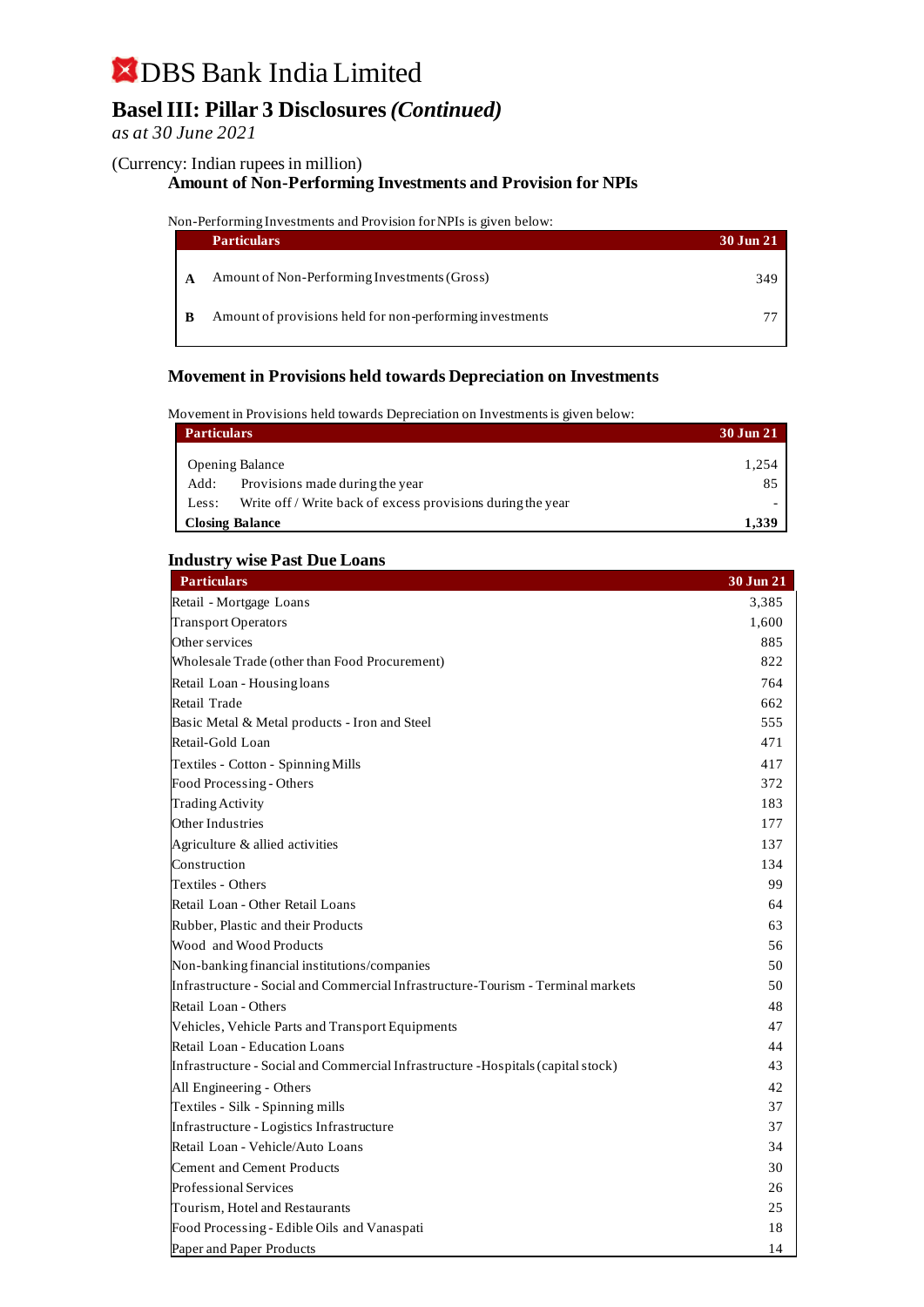## **Basel III: Pillar 3 Disclosures** *(Continued)*

### *as at 30 June 2021*

#### (Currency: Indian rupees in million)

### **Amount of Non-Performing Investments and Provision for NPIs**

#### Non-Performing Investments and Provision for NPIs is given below:

|   | <b>Particulars</b>                                       | 30 Jun 21 |
|---|----------------------------------------------------------|-----------|
| A | Amount of Non-Performing Investments (Gross)             | 349       |
| B | Amount of provisions held for non-performing investments |           |

#### **Movement in Provisions held towards Depreciation on Investments**

#### Movement in Provisions held towards Depreciation on Investments is given below:

| <b>Particulars</b> |                                                             | 30 Jun 21 |
|--------------------|-------------------------------------------------------------|-----------|
|                    | <b>Opening Balance</b>                                      | 1,254     |
| Add:               | Provisions made during the year                             | 85        |
| Less:              | Write off / Write back of excess provisions during the year |           |
|                    | <b>Closing Balance</b>                                      | 1.339     |

#### **Industry wise Past Due Loans**

| <b>Particulars</b>                                                                | 30 Jun 21 |
|-----------------------------------------------------------------------------------|-----------|
| Retail - Mortgage Loans                                                           | 3,385     |
| <b>Transport Operators</b>                                                        | 1,600     |
| Other services                                                                    | 885       |
| Wholesale Trade (other than Food Procurement)                                     | 822       |
| Retail Loan - Housing loans                                                       | 764       |
| Retail Trade                                                                      | 662       |
| Basic Metal & Metal products - Iron and Steel                                     | 555       |
| Retail-Gold Loan                                                                  | 471       |
| Textiles - Cotton - Spinning Mills                                                | 417       |
| Food Processing - Others                                                          | 372       |
| <b>Trading Activity</b>                                                           | 183       |
| Other Industries                                                                  | 177       |
| Agriculture & allied activities                                                   | 137       |
| Construction                                                                      | 134       |
| Textiles - Others                                                                 | 99        |
| Retail Loan - Other Retail Loans                                                  | 64        |
| Rubber, Plastic and their Products                                                | 63        |
| Wood and Wood Products                                                            | 56        |
| Non-banking financial institutions/companies                                      | 50        |
| Infrastructure - Social and Commercial Infrastructure-Tourism - Terminal markets  | 50        |
| Retail Loan - Others                                                              | 48        |
| Vehicles, Vehicle Parts and Transport Equipments                                  | 47        |
| Retail Loan - Education Loans                                                     | 44        |
| Infrastructure - Social and Commercial Infrastructure - Hospitals (capital stock) | 43        |
| All Engineering - Others                                                          | 42        |
| Textiles - Silk - Spinning mills                                                  | 37        |
| Infrastructure - Logistics Infrastructure                                         | 37        |
| Retail Loan - Vehicle/Auto Loans                                                  | 34        |
| <b>Cement and Cement Products</b>                                                 | 30        |
| <b>Professional Services</b>                                                      | 26        |
| Tourism, Hotel and Restaurants                                                    | 25        |
| Food Processing - Edible Oils and Vanaspati                                       | 18        |
| Paper and Paper Products                                                          | 14        |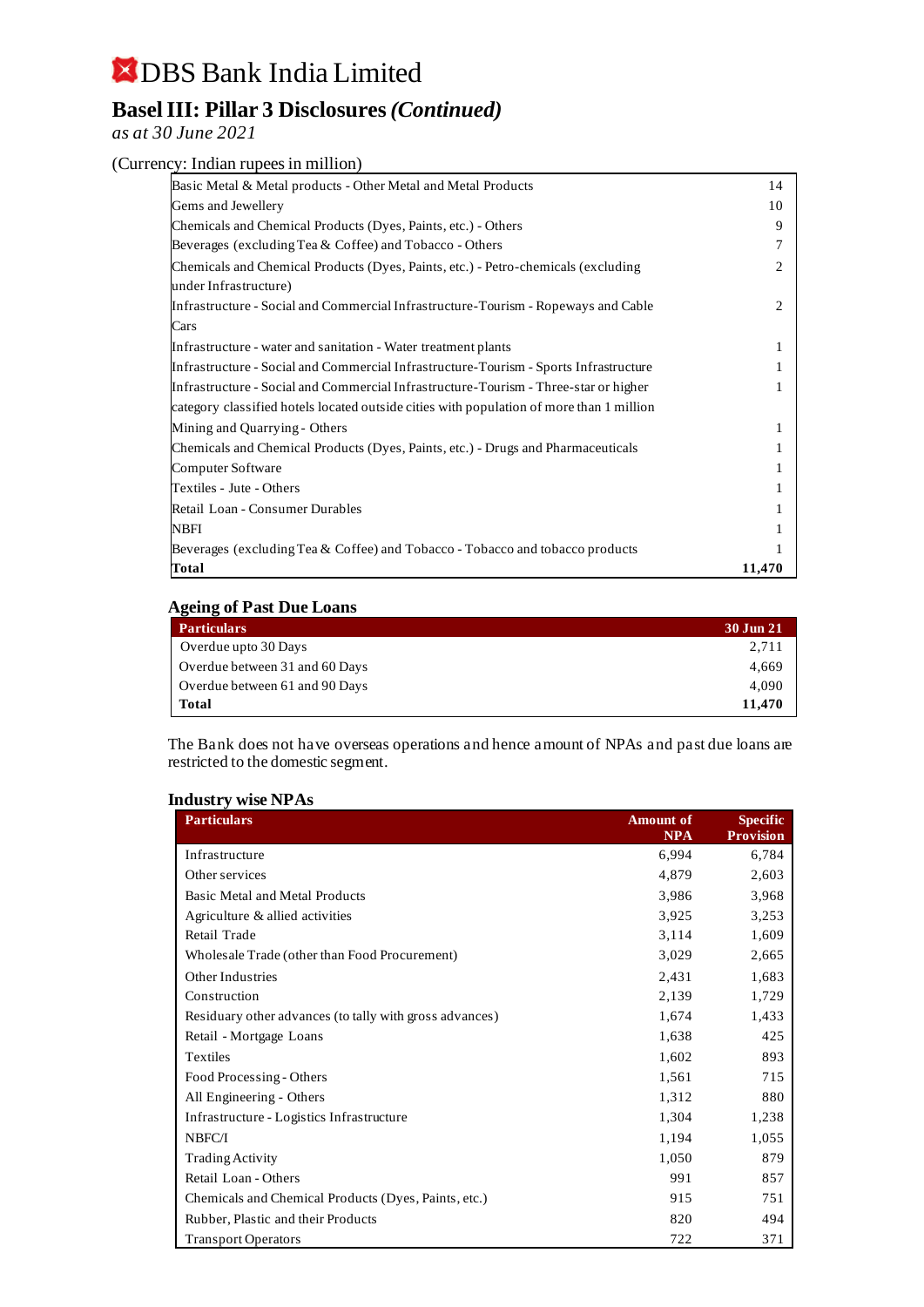## **Basel III: Pillar 3 Disclosures** *(Continued)*

*as at 30 June 2021*

#### (Currency: Indian rupees in million)

| Basic Metal & Metal products - Other Metal and Metal Products                            | 14     |
|------------------------------------------------------------------------------------------|--------|
| Gems and Jewellery                                                                       | 10     |
| Chemicals and Chemical Products (Dyes, Paints, etc.) - Others                            | 9      |
| Beverages (excluding Tea & Coffee) and Tobacco - Others                                  |        |
| Chemicals and Chemical Products (Dyes, Paints, etc.) - Petro-chemicals (excluding        | 2      |
| under Infrastructure)                                                                    |        |
| Infrastructure - Social and Commercial Infrastructure-Tourism - Ropeways and Cable       | 2      |
| Cars                                                                                     |        |
| Infrastructure - water and sanitation - Water treatment plants                           |        |
| Infrastructure - Social and Commercial Infrastructure-Tourism - Sports Infrastructure    |        |
| Infrastructure - Social and Commercial Infrastructure-Tourism - Three-star or higher     |        |
| category classified hotels located outside cities with population of more than 1 million |        |
| Mining and Quarrying - Others                                                            |        |
| Chemicals and Chemical Products (Dyes, Paints, etc.) - Drugs and Pharmaceuticals         |        |
| Computer Software                                                                        |        |
| Textiles - Jute - Others                                                                 |        |
| Retail Loan - Consumer Durables                                                          |        |
| <b>NBFI</b>                                                                              |        |
| Beverages (excluding Tea & Coffee) and Tobacco - Tobacco and tobacco products            |        |
| Total                                                                                    | 11,470 |

#### **Ageing of Past Due Loans**

| <b>Particulars</b>             | 30 Jun 21 |
|--------------------------------|-----------|
| Overdue upto 30 Days           | 2.711     |
| Overdue between 31 and 60 Days | 4.669     |
| Overdue between 61 and 90 Days | 4.090     |
| Total                          | 11.470    |

The Bank does not have overseas operations and hence amount of NPAs and past due loans are restricted to the domestic segment.

#### **Industry wise NPAs**

| <b>Particulars</b>                                      | <b>Amount</b> of<br><b>NPA</b> | <b>Specific</b><br><b>Provision</b> |
|---------------------------------------------------------|--------------------------------|-------------------------------------|
| Infrastructure                                          | 6,994                          | 6,784                               |
| Other services                                          | 4,879                          | 2,603                               |
| <b>Basic Metal and Metal Products</b>                   | 3,986                          | 3,968                               |
| Agriculture & allied activities                         | 3,925                          | 3,253                               |
| Retail Trade                                            | 3,114                          | 1,609                               |
| Wholesale Trade (other than Food Procurement)           | 3,029                          | 2,665                               |
| Other Industries                                        | 2,431                          | 1,683                               |
| Construction                                            | 2,139                          | 1,729                               |
| Residuary other advances (to tally with gross advances) | 1,674                          | 1,433                               |
| Retail - Mortgage Loans                                 | 1,638                          | 425                                 |
| Textiles                                                | 1,602                          | 893                                 |
| Food Processing - Others                                | 1,561                          | 715                                 |
| All Engineering - Others                                | 1,312                          | 880                                 |
| Infrastructure - Logistics Infrastructure               | 1,304                          | 1,238                               |
| NBFC/I                                                  | 1,194                          | 1,055                               |
| <b>Trading Activity</b>                                 | 1,050                          | 879                                 |
| Retail Loan - Others                                    | 991                            | 857                                 |
| Chemicals and Chemical Products (Dyes, Paints, etc.)    | 915                            | 751                                 |
| Rubber, Plastic and their Products                      | 820                            | 494                                 |
| <b>Transport Operators</b>                              | 722                            | 371                                 |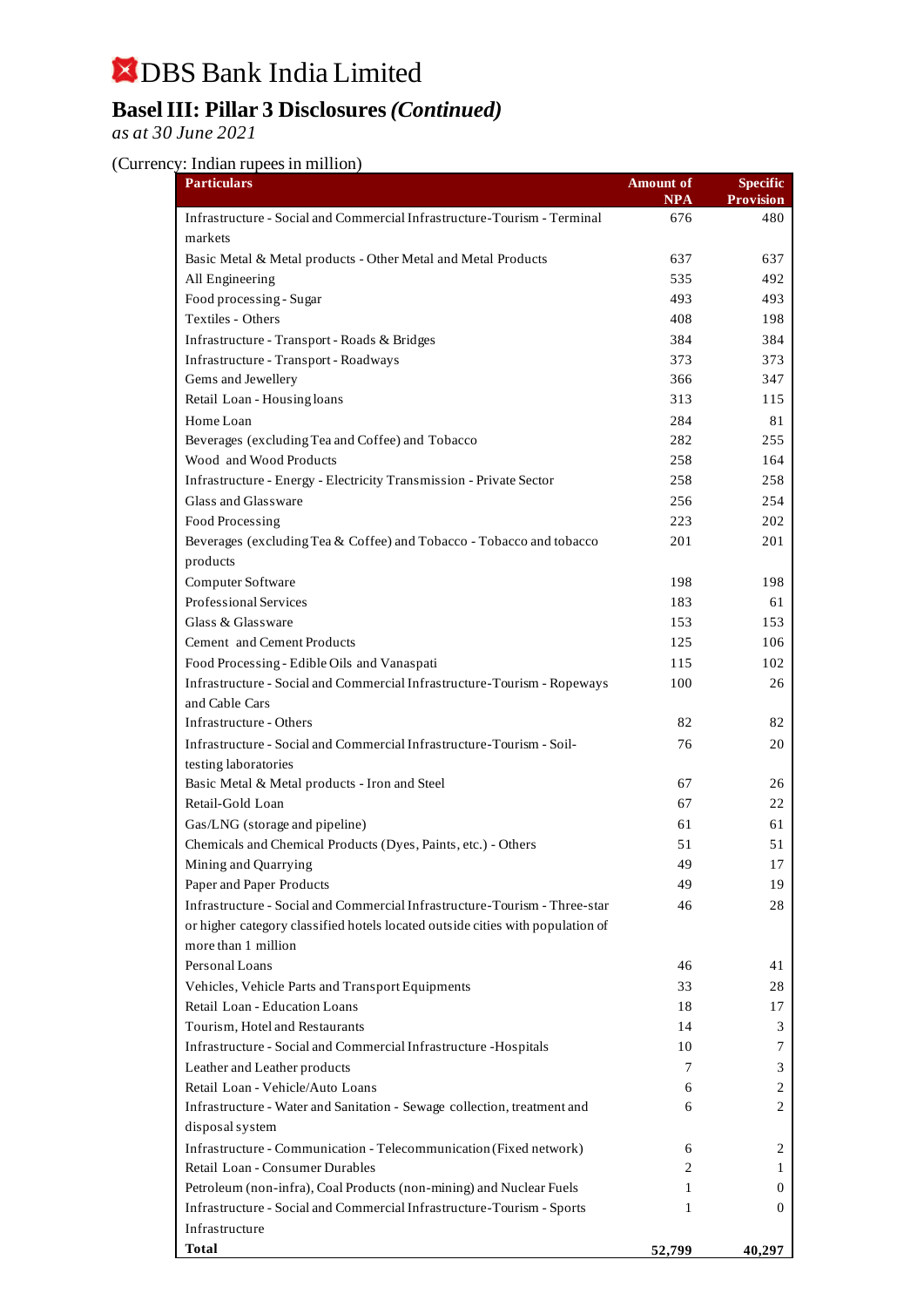## **Basel III: Pillar 3 Disclosures** *(Continued)*

*as at 30 June 2021*

### (Currency: Indian rupees in million)

| <b>Particulars</b>                                                             | Amount of  | <b>Specific</b>  |
|--------------------------------------------------------------------------------|------------|------------------|
|                                                                                | <b>NPA</b> | <b>Provision</b> |
| Infrastructure - Social and Commercial Infrastructure-Tourism - Terminal       | 676        | 480              |
| markets                                                                        |            |                  |
| Basic Metal & Metal products - Other Metal and Metal Products                  | 637        | 637              |
| All Engineering                                                                | 535        | 492              |
| Food processing - Sugar                                                        | 493        | 493              |
| Textiles - Others                                                              | 408        | 198              |
| Infrastructure - Transport - Roads & Bridges                                   | 384        | 384              |
| Infrastructure - Transport - Roadways                                          | 373        | 373              |
| Gems and Jewellery                                                             | 366        | 347              |
| Retail Loan - Housing loans                                                    | 313        | 115              |
| Home Loan                                                                      | 284        | 81               |
| Beverages (excluding Tea and Coffee) and Tobacco                               | 282        | 255              |
| Wood and Wood Products                                                         | 258        | 164              |
| Infrastructure - Energy - Electricity Transmission - Private Sector            | 258        | 258              |
| Glass and Glassware                                                            | 256        | 254              |
| Food Processing                                                                | 223        | 202              |
| Beverages (excluding Tea & Coffee) and Tobacco - Tobacco and tobacco           | 201        | 201              |
| products                                                                       |            |                  |
| Computer Software                                                              | 198        | 198              |
| Professional Services                                                          | 183        | 61               |
| Glass & Glassware                                                              | 153        | 153              |
| Cement and Cement Products                                                     | 125        | 106              |
| Food Processing - Edible Oils and Vanaspati                                    | 115        | 102              |
| Infrastructure - Social and Commercial Infrastructure-Tourism - Ropeways       | 100        | 26               |
| and Cable Cars                                                                 |            |                  |
| Infrastructure - Others                                                        | 82         | 82               |
| Infrastructure - Social and Commercial Infrastructure-Tourism - Soil-          | 76         | 20               |
| testing laboratories                                                           |            |                  |
| Basic Metal & Metal products - Iron and Steel                                  | 67         | 26               |
| Retail-Gold Loan                                                               | 67         | 22               |
| Gas/LNG (storage and pipeline)                                                 | 61         | 61               |
| Chemicals and Chemical Products (Dyes, Paints, etc.) - Others                  | 51         | 51               |
| Mining and Quarrying                                                           | 49         | 17               |
| Paper and Paper Products                                                       | 49         | 19               |
| Infrastructure - Social and Commercial Infrastructure-Tourism - Three-star     | 46         | 28               |
| or higher category classified hotels located outside cities with population of |            |                  |
| more than 1 million                                                            |            |                  |
| Personal Loans                                                                 | 46         | 41               |
| Vehicles, Vehicle Parts and Transport Equipments                               | 33         | 28               |
| Retail Loan - Education Loans                                                  | 18         | 17               |
| Tourism, Hotel and Restaurants                                                 | 14         | 3                |
| Infrastructure - Social and Commercial Infrastructure - Hospitals              | 10         | 7                |
| Leather and Leather products                                                   | 7          | 3                |
| Retail Loan - Vehicle/Auto Loans                                               | 6          | 2                |
| Infrastructure - Water and Sanitation - Sewage collection, treatment and       | 6          | 2                |
| disposal system                                                                |            |                  |
| Infrastructure - Communication - Telecommunication (Fixed network)             | 6          | 2                |
| Retail Loan - Consumer Durables                                                | 2          | 1                |
| Petroleum (non-infra), Coal Products (non-mining) and Nuclear Fuels            | 1          | 0                |
| Infrastructure - Social and Commercial Infrastructure-Tourism - Sports         | 1          | $\theta$         |
| Infrastructure                                                                 |            |                  |
| <b>Total</b>                                                                   | 52,799     | 40,297           |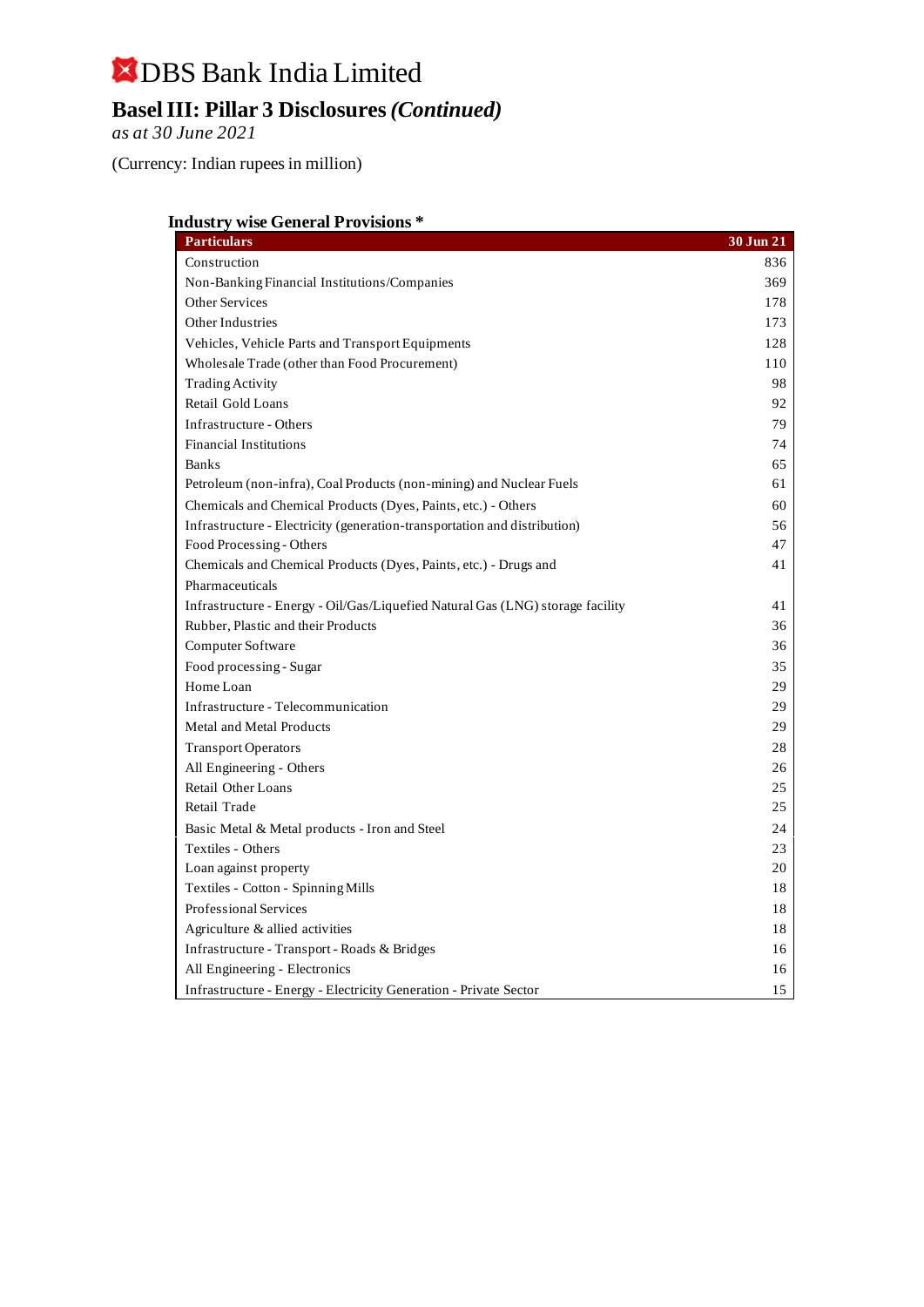## DBS Bank India Limited **Basel III: Pillar 3 Disclosures** *(Continued)*

*as at 30 June 2021*

(Currency: Indian rupees in million)

#### **Industry wise General Provisions \***

| <b>Particulars</b>                                                             | 30 Jun 21 |
|--------------------------------------------------------------------------------|-----------|
| Construction                                                                   | 836       |
| Non-Banking Financial Institutions/Companies                                   | 369       |
| <b>Other Services</b>                                                          | 178       |
| Other Industries                                                               | 173       |
| Vehicles, Vehicle Parts and Transport Equipments                               | 128       |
| Wholesale Trade (other than Food Procurement)                                  | 110       |
| <b>Trading Activity</b>                                                        | 98        |
| Retail Gold Loans                                                              | 92        |
| <b>Infrastructure - Others</b>                                                 | 79        |
| <b>Financial Institutions</b>                                                  | 74        |
| <b>Banks</b>                                                                   | 65        |
| Petroleum (non-infra), Coal Products (non-mining) and Nuclear Fuels            | 61        |
| Chemicals and Chemical Products (Dyes, Paints, etc.) - Others                  | 60        |
| Infrastructure - Electricity (generation-transportation and distribution)      | 56        |
| Food Processing - Others                                                       | 47        |
| Chemicals and Chemical Products (Dyes, Paints, etc.) - Drugs and               | 41        |
| Pharmaceuticals                                                                |           |
| Infrastructure - Energy - Oil/Gas/Liquefied Natural Gas (LNG) storage facility | 41        |
| Rubber, Plastic and their Products                                             | 36        |
| Computer Software                                                              | 36        |
| Food processing - Sugar                                                        | 35        |
| Home Loan                                                                      | 29        |
| Infrastructure - Telecommunication                                             | 29        |
| Metal and Metal Products                                                       | 29        |
| <b>Transport Operators</b>                                                     | 28        |
| All Engineering - Others                                                       | 26        |
| <b>Retail Other Loans</b>                                                      | 25        |
| Retail Trade                                                                   | 25        |
| Basic Metal & Metal products - Iron and Steel                                  | 24        |
| Textiles - Others                                                              | 23        |
| Loan against property                                                          | 20        |
| Textiles - Cotton - Spinning Mills                                             | 18        |
| <b>Professional Services</b>                                                   | 18        |
| Agriculture & allied activities                                                | 18        |
| Infrastructure - Transport - Roads & Bridges                                   | 16        |
| All Engineering - Electronics                                                  | 16        |
| Infrastructure - Energy - Electricity Generation - Private Sector              | 15        |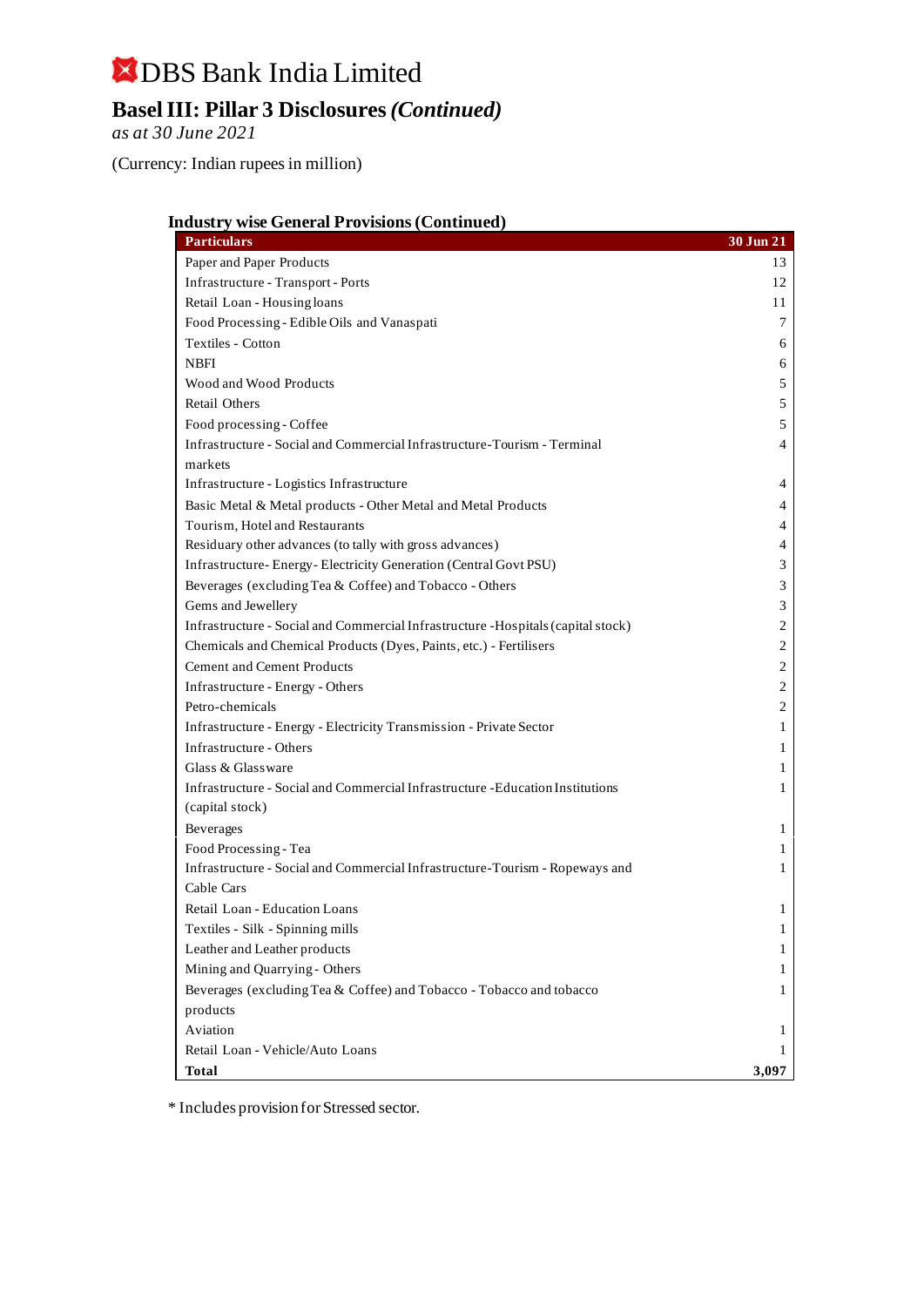## **Basel III: Pillar 3 Disclosures** *(Continued)*

*as at 30 June 2021*

(Currency: Indian rupees in million)

#### **Industry wise General Provisions (Continued)**

| <b>Particulars</b>                                                                | 30 Jun 21      |
|-----------------------------------------------------------------------------------|----------------|
| Paper and Paper Products                                                          | 13             |
| Infrastructure - Transport - Ports                                                | 12             |
| Retail Loan - Housing loans                                                       | 11             |
| Food Processing - Edible Oils and Vanaspati                                       | 7              |
| Textiles - Cotton                                                                 | 6              |
| <b>NBFI</b>                                                                       | 6              |
| Wood and Wood Products                                                            | 5              |
| <b>Retail Others</b>                                                              | 5              |
| Food processing - Coffee                                                          | 5              |
| Infrastructure - Social and Commercial Infrastructure-Tourism - Terminal          | 4              |
| markets                                                                           |                |
| Infrastructure - Logistics Infrastructure                                         | 4              |
| Basic Metal & Metal products - Other Metal and Metal Products                     | 4              |
| Tourism, Hotel and Restaurants                                                    | 4              |
| Residuary other advances (to tally with gross advances)                           | 4              |
| Infrastructure-Energy-Electricity Generation (Central Govt PSU)                   | 3              |
| Beverages (excluding Tea & Coffee) and Tobacco - Others                           | 3              |
| Gems and Jewellery                                                                | 3              |
| Infrastructure - Social and Commercial Infrastructure - Hospitals (capital stock) | 2              |
| Chemicals and Chemical Products (Dyes, Paints, etc.) - Fertilisers                | $\mathfrak{2}$ |
| <b>Cement and Cement Products</b>                                                 | 2              |
| Infrastructure - Energy - Others                                                  | 2              |
| Petro-chemicals                                                                   | 2              |
| Infrastructure - Energy - Electricity Transmission - Private Sector               | 1              |
| Infrastructure - Others                                                           | 1              |
| Glass & Glassware                                                                 | 1              |
| Infrastructure - Social and Commercial Infrastructure - Education Institutions    | 1              |
| (capital stock)                                                                   |                |
| Beverages                                                                         | 1              |
| Food Processing - Tea                                                             | 1              |
| Infrastructure - Social and Commercial Infrastructure-Tourism - Ropeways and      | 1              |
| Cable Cars                                                                        |                |
| Retail Loan - Education Loans                                                     | 1              |
| Textiles - Silk - Spinning mills                                                  | 1              |
| Leather and Leather products                                                      | 1              |
| Mining and Quarrying - Others                                                     | 1              |
| Beverages (excluding Tea & Coffee) and Tobacco - Tobacco and tobacco              | 1              |
| products                                                                          |                |
| Aviation                                                                          | 1              |
| Retail Loan - Vehicle/Auto Loans                                                  | 1              |
| <b>Total</b>                                                                      | 3,097          |

\* Includes provision for Stressed sector.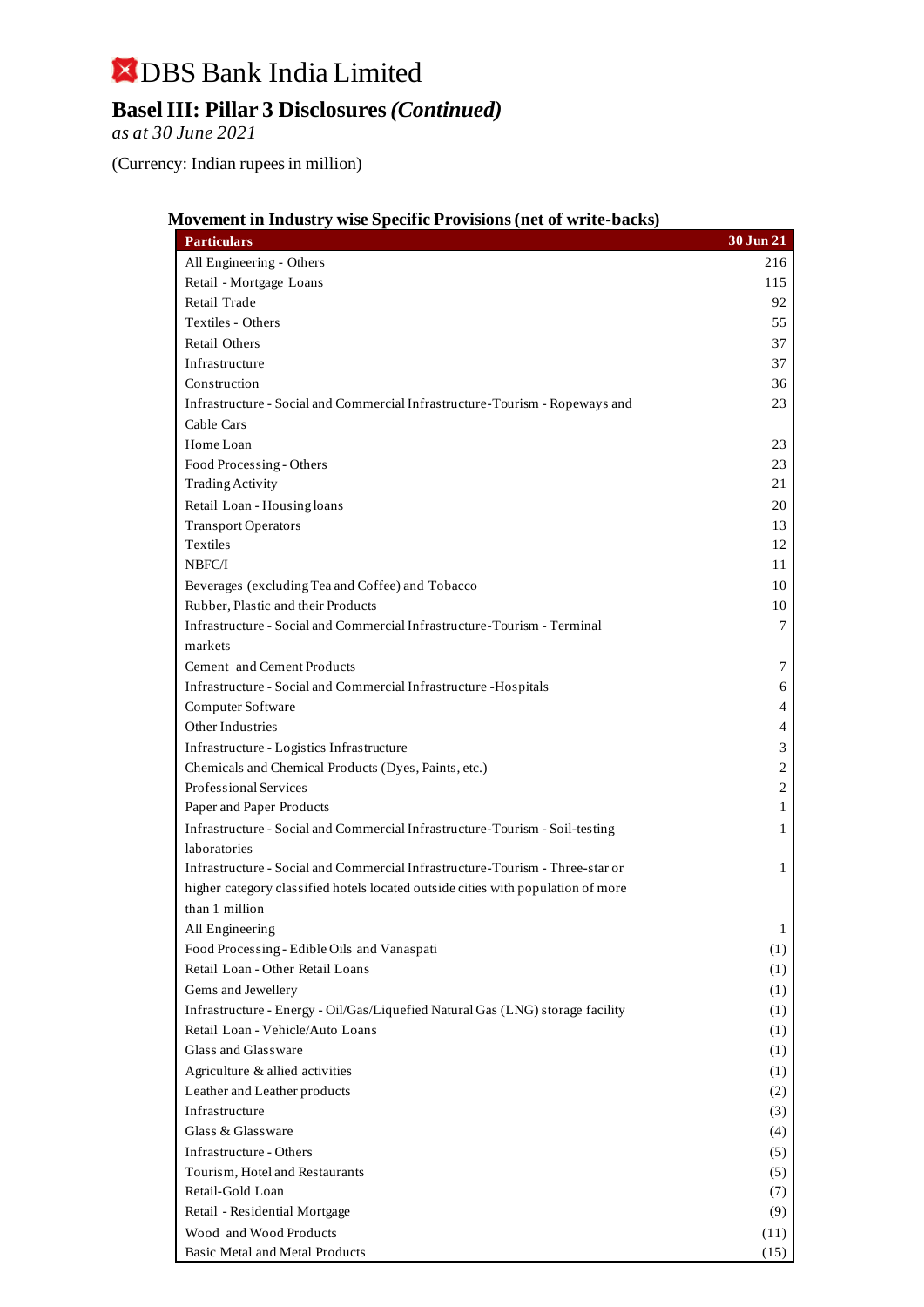**Basel III: Pillar 3 Disclosures** *(Continued)*

*as at 30 June 2021*

(Currency: Indian rupees in million)

|  |  | Movement in Industry wise Specific Provisions (net of write-backs) |
|--|--|--------------------------------------------------------------------|
|  |  |                                                                    |

| All Engineering - Others<br>216<br>Retail - Mortgage Loans<br>115<br>Retail Trade<br>92<br>Textiles - Others<br>55<br>Retail Others<br>37<br>Infrastructure<br>37<br>Construction<br>36<br>Infrastructure - Social and Commercial Infrastructure-Tourism - Ropeways and<br>23<br>Cable Cars<br>Home Loan<br>23<br>Food Processing - Others<br>23<br><b>Trading Activity</b><br>21<br>Retail Loan - Housing loans<br>20<br><b>Transport Operators</b><br>13<br><b>Textiles</b><br>12<br>NBFC/I<br>11<br>Beverages (excluding Tea and Coffee) and Tobacco<br>10<br>Rubber, Plastic and their Products<br>10<br>Infrastructure - Social and Commercial Infrastructure-Tourism - Terminal<br>7<br>markets<br>Cement and Cement Products<br>7<br>Infrastructure - Social and Commercial Infrastructure - Hospitals<br>6<br>Computer Software<br>4<br>Other Industries<br>4<br>Infrastructure - Logistics Infrastructure<br>3<br>$\mathfrak{2}$<br>Chemicals and Chemical Products (Dyes, Paints, etc.)<br>Professional Services<br>$\mathfrak{2}$<br>Paper and Paper Products<br>1<br>Infrastructure - Social and Commercial Infrastructure-Tourism - Soil-testing<br>1<br>laboratories<br>Infrastructure - Social and Commercial Infrastructure-Tourism - Three-star or<br>1<br>higher category classified hotels located outside cities with population of more<br>than 1 million<br>All Engineering<br>1<br>Food Processing - Edible Oils and Vanaspati<br>(1)<br>Retail Loan - Other Retail Loans<br>(1)<br>Gems and Jewellery<br>(1)<br>Infrastructure - Energy - Oil/Gas/Liquefied Natural Gas (LNG) storage facility<br>(1)<br>Retail Loan - Vehicle/Auto Loans<br>(1)<br>Glass and Glassware<br>(1)<br>Agriculture & allied activities<br>(1)<br>Leather and Leather products<br>(2)<br>Infrastructure<br>(3) | <b>Particulars</b> | $30$ Jun $21$ |
|------------------------------------------------------------------------------------------------------------------------------------------------------------------------------------------------------------------------------------------------------------------------------------------------------------------------------------------------------------------------------------------------------------------------------------------------------------------------------------------------------------------------------------------------------------------------------------------------------------------------------------------------------------------------------------------------------------------------------------------------------------------------------------------------------------------------------------------------------------------------------------------------------------------------------------------------------------------------------------------------------------------------------------------------------------------------------------------------------------------------------------------------------------------------------------------------------------------------------------------------------------------------------------------------------------------------------------------------------------------------------------------------------------------------------------------------------------------------------------------------------------------------------------------------------------------------------------------------------------------------------------------------------------------------------------------------------------------------------------------------------------------------------------------------------------------|--------------------|---------------|
|                                                                                                                                                                                                                                                                                                                                                                                                                                                                                                                                                                                                                                                                                                                                                                                                                                                                                                                                                                                                                                                                                                                                                                                                                                                                                                                                                                                                                                                                                                                                                                                                                                                                                                                                                                                                                  |                    |               |
|                                                                                                                                                                                                                                                                                                                                                                                                                                                                                                                                                                                                                                                                                                                                                                                                                                                                                                                                                                                                                                                                                                                                                                                                                                                                                                                                                                                                                                                                                                                                                                                                                                                                                                                                                                                                                  |                    |               |
|                                                                                                                                                                                                                                                                                                                                                                                                                                                                                                                                                                                                                                                                                                                                                                                                                                                                                                                                                                                                                                                                                                                                                                                                                                                                                                                                                                                                                                                                                                                                                                                                                                                                                                                                                                                                                  |                    |               |
|                                                                                                                                                                                                                                                                                                                                                                                                                                                                                                                                                                                                                                                                                                                                                                                                                                                                                                                                                                                                                                                                                                                                                                                                                                                                                                                                                                                                                                                                                                                                                                                                                                                                                                                                                                                                                  |                    |               |
|                                                                                                                                                                                                                                                                                                                                                                                                                                                                                                                                                                                                                                                                                                                                                                                                                                                                                                                                                                                                                                                                                                                                                                                                                                                                                                                                                                                                                                                                                                                                                                                                                                                                                                                                                                                                                  |                    |               |
|                                                                                                                                                                                                                                                                                                                                                                                                                                                                                                                                                                                                                                                                                                                                                                                                                                                                                                                                                                                                                                                                                                                                                                                                                                                                                                                                                                                                                                                                                                                                                                                                                                                                                                                                                                                                                  |                    |               |
|                                                                                                                                                                                                                                                                                                                                                                                                                                                                                                                                                                                                                                                                                                                                                                                                                                                                                                                                                                                                                                                                                                                                                                                                                                                                                                                                                                                                                                                                                                                                                                                                                                                                                                                                                                                                                  |                    |               |
|                                                                                                                                                                                                                                                                                                                                                                                                                                                                                                                                                                                                                                                                                                                                                                                                                                                                                                                                                                                                                                                                                                                                                                                                                                                                                                                                                                                                                                                                                                                                                                                                                                                                                                                                                                                                                  |                    |               |
|                                                                                                                                                                                                                                                                                                                                                                                                                                                                                                                                                                                                                                                                                                                                                                                                                                                                                                                                                                                                                                                                                                                                                                                                                                                                                                                                                                                                                                                                                                                                                                                                                                                                                                                                                                                                                  |                    |               |
|                                                                                                                                                                                                                                                                                                                                                                                                                                                                                                                                                                                                                                                                                                                                                                                                                                                                                                                                                                                                                                                                                                                                                                                                                                                                                                                                                                                                                                                                                                                                                                                                                                                                                                                                                                                                                  |                    |               |
|                                                                                                                                                                                                                                                                                                                                                                                                                                                                                                                                                                                                                                                                                                                                                                                                                                                                                                                                                                                                                                                                                                                                                                                                                                                                                                                                                                                                                                                                                                                                                                                                                                                                                                                                                                                                                  |                    |               |
|                                                                                                                                                                                                                                                                                                                                                                                                                                                                                                                                                                                                                                                                                                                                                                                                                                                                                                                                                                                                                                                                                                                                                                                                                                                                                                                                                                                                                                                                                                                                                                                                                                                                                                                                                                                                                  |                    |               |
|                                                                                                                                                                                                                                                                                                                                                                                                                                                                                                                                                                                                                                                                                                                                                                                                                                                                                                                                                                                                                                                                                                                                                                                                                                                                                                                                                                                                                                                                                                                                                                                                                                                                                                                                                                                                                  |                    |               |
|                                                                                                                                                                                                                                                                                                                                                                                                                                                                                                                                                                                                                                                                                                                                                                                                                                                                                                                                                                                                                                                                                                                                                                                                                                                                                                                                                                                                                                                                                                                                                                                                                                                                                                                                                                                                                  |                    |               |
|                                                                                                                                                                                                                                                                                                                                                                                                                                                                                                                                                                                                                                                                                                                                                                                                                                                                                                                                                                                                                                                                                                                                                                                                                                                                                                                                                                                                                                                                                                                                                                                                                                                                                                                                                                                                                  |                    |               |
|                                                                                                                                                                                                                                                                                                                                                                                                                                                                                                                                                                                                                                                                                                                                                                                                                                                                                                                                                                                                                                                                                                                                                                                                                                                                                                                                                                                                                                                                                                                                                                                                                                                                                                                                                                                                                  |                    |               |
|                                                                                                                                                                                                                                                                                                                                                                                                                                                                                                                                                                                                                                                                                                                                                                                                                                                                                                                                                                                                                                                                                                                                                                                                                                                                                                                                                                                                                                                                                                                                                                                                                                                                                                                                                                                                                  |                    |               |
|                                                                                                                                                                                                                                                                                                                                                                                                                                                                                                                                                                                                                                                                                                                                                                                                                                                                                                                                                                                                                                                                                                                                                                                                                                                                                                                                                                                                                                                                                                                                                                                                                                                                                                                                                                                                                  |                    |               |
|                                                                                                                                                                                                                                                                                                                                                                                                                                                                                                                                                                                                                                                                                                                                                                                                                                                                                                                                                                                                                                                                                                                                                                                                                                                                                                                                                                                                                                                                                                                                                                                                                                                                                                                                                                                                                  |                    |               |
|                                                                                                                                                                                                                                                                                                                                                                                                                                                                                                                                                                                                                                                                                                                                                                                                                                                                                                                                                                                                                                                                                                                                                                                                                                                                                                                                                                                                                                                                                                                                                                                                                                                                                                                                                                                                                  |                    |               |
|                                                                                                                                                                                                                                                                                                                                                                                                                                                                                                                                                                                                                                                                                                                                                                                                                                                                                                                                                                                                                                                                                                                                                                                                                                                                                                                                                                                                                                                                                                                                                                                                                                                                                                                                                                                                                  |                    |               |
|                                                                                                                                                                                                                                                                                                                                                                                                                                                                                                                                                                                                                                                                                                                                                                                                                                                                                                                                                                                                                                                                                                                                                                                                                                                                                                                                                                                                                                                                                                                                                                                                                                                                                                                                                                                                                  |                    |               |
|                                                                                                                                                                                                                                                                                                                                                                                                                                                                                                                                                                                                                                                                                                                                                                                                                                                                                                                                                                                                                                                                                                                                                                                                                                                                                                                                                                                                                                                                                                                                                                                                                                                                                                                                                                                                                  |                    |               |
|                                                                                                                                                                                                                                                                                                                                                                                                                                                                                                                                                                                                                                                                                                                                                                                                                                                                                                                                                                                                                                                                                                                                                                                                                                                                                                                                                                                                                                                                                                                                                                                                                                                                                                                                                                                                                  |                    |               |
|                                                                                                                                                                                                                                                                                                                                                                                                                                                                                                                                                                                                                                                                                                                                                                                                                                                                                                                                                                                                                                                                                                                                                                                                                                                                                                                                                                                                                                                                                                                                                                                                                                                                                                                                                                                                                  |                    |               |
|                                                                                                                                                                                                                                                                                                                                                                                                                                                                                                                                                                                                                                                                                                                                                                                                                                                                                                                                                                                                                                                                                                                                                                                                                                                                                                                                                                                                                                                                                                                                                                                                                                                                                                                                                                                                                  |                    |               |
|                                                                                                                                                                                                                                                                                                                                                                                                                                                                                                                                                                                                                                                                                                                                                                                                                                                                                                                                                                                                                                                                                                                                                                                                                                                                                                                                                                                                                                                                                                                                                                                                                                                                                                                                                                                                                  |                    |               |
|                                                                                                                                                                                                                                                                                                                                                                                                                                                                                                                                                                                                                                                                                                                                                                                                                                                                                                                                                                                                                                                                                                                                                                                                                                                                                                                                                                                                                                                                                                                                                                                                                                                                                                                                                                                                                  |                    |               |
|                                                                                                                                                                                                                                                                                                                                                                                                                                                                                                                                                                                                                                                                                                                                                                                                                                                                                                                                                                                                                                                                                                                                                                                                                                                                                                                                                                                                                                                                                                                                                                                                                                                                                                                                                                                                                  |                    |               |
|                                                                                                                                                                                                                                                                                                                                                                                                                                                                                                                                                                                                                                                                                                                                                                                                                                                                                                                                                                                                                                                                                                                                                                                                                                                                                                                                                                                                                                                                                                                                                                                                                                                                                                                                                                                                                  |                    |               |
|                                                                                                                                                                                                                                                                                                                                                                                                                                                                                                                                                                                                                                                                                                                                                                                                                                                                                                                                                                                                                                                                                                                                                                                                                                                                                                                                                                                                                                                                                                                                                                                                                                                                                                                                                                                                                  |                    |               |
|                                                                                                                                                                                                                                                                                                                                                                                                                                                                                                                                                                                                                                                                                                                                                                                                                                                                                                                                                                                                                                                                                                                                                                                                                                                                                                                                                                                                                                                                                                                                                                                                                                                                                                                                                                                                                  |                    |               |
|                                                                                                                                                                                                                                                                                                                                                                                                                                                                                                                                                                                                                                                                                                                                                                                                                                                                                                                                                                                                                                                                                                                                                                                                                                                                                                                                                                                                                                                                                                                                                                                                                                                                                                                                                                                                                  |                    |               |
|                                                                                                                                                                                                                                                                                                                                                                                                                                                                                                                                                                                                                                                                                                                                                                                                                                                                                                                                                                                                                                                                                                                                                                                                                                                                                                                                                                                                                                                                                                                                                                                                                                                                                                                                                                                                                  |                    |               |
|                                                                                                                                                                                                                                                                                                                                                                                                                                                                                                                                                                                                                                                                                                                                                                                                                                                                                                                                                                                                                                                                                                                                                                                                                                                                                                                                                                                                                                                                                                                                                                                                                                                                                                                                                                                                                  |                    |               |
|                                                                                                                                                                                                                                                                                                                                                                                                                                                                                                                                                                                                                                                                                                                                                                                                                                                                                                                                                                                                                                                                                                                                                                                                                                                                                                                                                                                                                                                                                                                                                                                                                                                                                                                                                                                                                  |                    |               |
|                                                                                                                                                                                                                                                                                                                                                                                                                                                                                                                                                                                                                                                                                                                                                                                                                                                                                                                                                                                                                                                                                                                                                                                                                                                                                                                                                                                                                                                                                                                                                                                                                                                                                                                                                                                                                  |                    |               |
|                                                                                                                                                                                                                                                                                                                                                                                                                                                                                                                                                                                                                                                                                                                                                                                                                                                                                                                                                                                                                                                                                                                                                                                                                                                                                                                                                                                                                                                                                                                                                                                                                                                                                                                                                                                                                  |                    |               |
|                                                                                                                                                                                                                                                                                                                                                                                                                                                                                                                                                                                                                                                                                                                                                                                                                                                                                                                                                                                                                                                                                                                                                                                                                                                                                                                                                                                                                                                                                                                                                                                                                                                                                                                                                                                                                  |                    |               |
|                                                                                                                                                                                                                                                                                                                                                                                                                                                                                                                                                                                                                                                                                                                                                                                                                                                                                                                                                                                                                                                                                                                                                                                                                                                                                                                                                                                                                                                                                                                                                                                                                                                                                                                                                                                                                  |                    |               |
|                                                                                                                                                                                                                                                                                                                                                                                                                                                                                                                                                                                                                                                                                                                                                                                                                                                                                                                                                                                                                                                                                                                                                                                                                                                                                                                                                                                                                                                                                                                                                                                                                                                                                                                                                                                                                  |                    |               |
|                                                                                                                                                                                                                                                                                                                                                                                                                                                                                                                                                                                                                                                                                                                                                                                                                                                                                                                                                                                                                                                                                                                                                                                                                                                                                                                                                                                                                                                                                                                                                                                                                                                                                                                                                                                                                  |                    |               |
|                                                                                                                                                                                                                                                                                                                                                                                                                                                                                                                                                                                                                                                                                                                                                                                                                                                                                                                                                                                                                                                                                                                                                                                                                                                                                                                                                                                                                                                                                                                                                                                                                                                                                                                                                                                                                  |                    |               |
| Glass & Glassware<br>(4)                                                                                                                                                                                                                                                                                                                                                                                                                                                                                                                                                                                                                                                                                                                                                                                                                                                                                                                                                                                                                                                                                                                                                                                                                                                                                                                                                                                                                                                                                                                                                                                                                                                                                                                                                                                         |                    |               |
| Infrastructure - Others<br>(5)                                                                                                                                                                                                                                                                                                                                                                                                                                                                                                                                                                                                                                                                                                                                                                                                                                                                                                                                                                                                                                                                                                                                                                                                                                                                                                                                                                                                                                                                                                                                                                                                                                                                                                                                                                                   |                    |               |
| Tourism, Hotel and Restaurants<br>(5)                                                                                                                                                                                                                                                                                                                                                                                                                                                                                                                                                                                                                                                                                                                                                                                                                                                                                                                                                                                                                                                                                                                                                                                                                                                                                                                                                                                                                                                                                                                                                                                                                                                                                                                                                                            |                    |               |
| Retail-Gold Loan<br>(7)                                                                                                                                                                                                                                                                                                                                                                                                                                                                                                                                                                                                                                                                                                                                                                                                                                                                                                                                                                                                                                                                                                                                                                                                                                                                                                                                                                                                                                                                                                                                                                                                                                                                                                                                                                                          |                    |               |
| Retail - Residential Mortgage<br>(9)<br>Wood and Wood Products                                                                                                                                                                                                                                                                                                                                                                                                                                                                                                                                                                                                                                                                                                                                                                                                                                                                                                                                                                                                                                                                                                                                                                                                                                                                                                                                                                                                                                                                                                                                                                                                                                                                                                                                                   |                    |               |
| (11)<br>Basic Metal and Metal Products<br>(15)                                                                                                                                                                                                                                                                                                                                                                                                                                                                                                                                                                                                                                                                                                                                                                                                                                                                                                                                                                                                                                                                                                                                                                                                                                                                                                                                                                                                                                                                                                                                                                                                                                                                                                                                                                   |                    |               |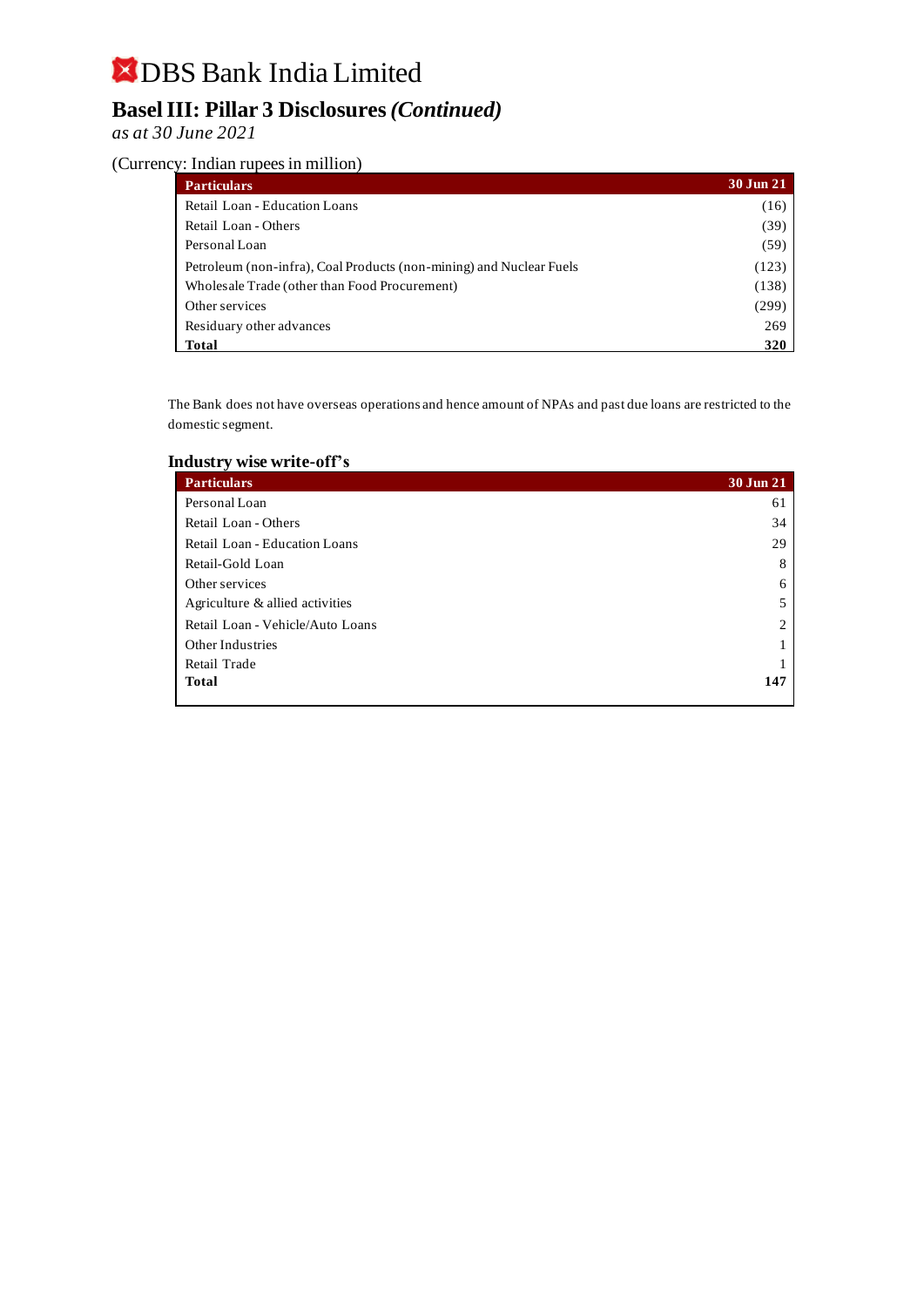## **Basel III: Pillar 3 Disclosures** *(Continued)*

*as at 30 June 2021*

#### (Currency: Indian rupees in million)

| <b>Particulars</b>                                                  | 30 Jun 21 |
|---------------------------------------------------------------------|-----------|
| Retail Loan - Education Loans                                       | (16)      |
| Retail Loan - Others                                                | (39)      |
| Personal Loan                                                       | (59)      |
| Petroleum (non-infra), Coal Products (non-mining) and Nuclear Fuels | (123)     |
| Wholesale Trade (other than Food Procurement)                       | (138)     |
| Other services                                                      | (299)     |
| Residuary other advances                                            | 269       |
| Total                                                               | 320       |

The Bank does not have overseas operations and hence amount of NPAs and past due loans are restricted to the domestic segment.

#### **Industry wise write-off's**

| <b>Particulars</b>               | 30 Jun 21 |
|----------------------------------|-----------|
| Personal Loan                    | 61        |
| Retail Loan - Others             | 34        |
| Retail Loan - Education Loans    | 29        |
| Retail-Gold Loan                 | 8         |
| Other services                   | 6         |
| Agriculture & allied activities  |           |
| Retail Loan - Vehicle/Auto Loans | ↑         |
| Other Industries                 |           |
| Retail Trade                     |           |
| <b>Total</b>                     | 147       |
|                                  |           |